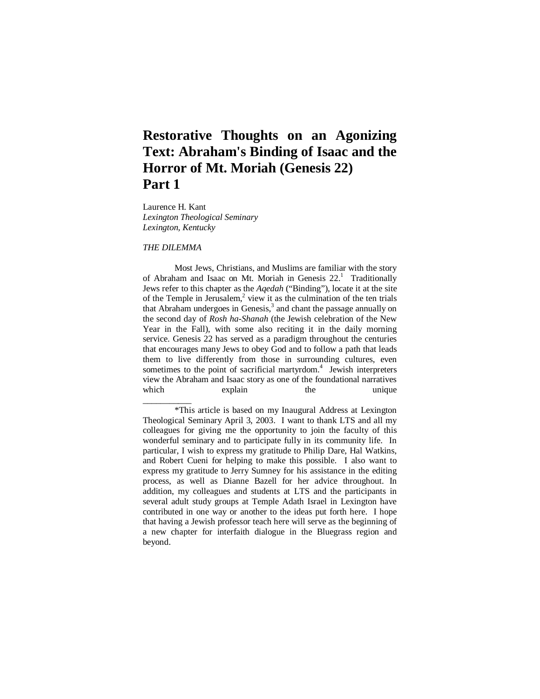# **Restorative Thoughts on an Agonizing Text: Abraham's Binding of Isaac and the Horror of Mt. Moriah (Genesis 22) Part 1**

Laurence H. Kant *Lexington Theological Seminary Lexington, Kentucky* 

# *THE DILEMMA*

\_\_\_\_\_\_\_\_\_\_\_

Most Jews, Christians, and Muslims are familiar with the story of Abraham and Isaac on Mt. Moriah in Genesis  $22<sup>1</sup>$  Traditionally Jews refer to this chapter as the *Aqedah* ("Binding"), locate it at the site of the Temple in Jerusalem, $2$  view it as the culmination of the ten trials that Abraham undergoes in Genesis, $3$  and chant the passage annually on the second day of *Rosh ha-Shanah* (the Jewish celebration of the New Year in the Fall), with some also reciting it in the daily morning service. Genesis 22 has served as a paradigm throughout the centuries that encourages many Jews to obey God and to follow a path that leads them to live differently from those in surrounding cultures, even sometimes to the point of sacrificial martyrdom.<sup>4</sup> Jewish interpreters view the Abraham and Isaac story as one of the foundational narratives which explain the unique

<sup>\*</sup>This article is based on my Inaugural Address at Lexington Theological Seminary April 3, 2003. I want to thank LTS and all my colleagues for giving me the opportunity to join the faculty of this wonderful seminary and to participate fully in its community life. In particular, I wish to express my gratitude to Philip Dare, Hal Watkins, and Robert Cueni for helping to make this possible. I also want to express my gratitude to Jerry Sumney for his assistance in the editing process, as well as Dianne Bazell for her advice throughout. In addition, my colleagues and students at LTS and the participants in several adult study groups at Temple Adath Israel in Lexington have contributed in one way or another to the ideas put forth here. I hope that having a Jewish professor teach here will serve as the beginning of a new chapter for interfaith dialogue in the Bluegrass region and beyond.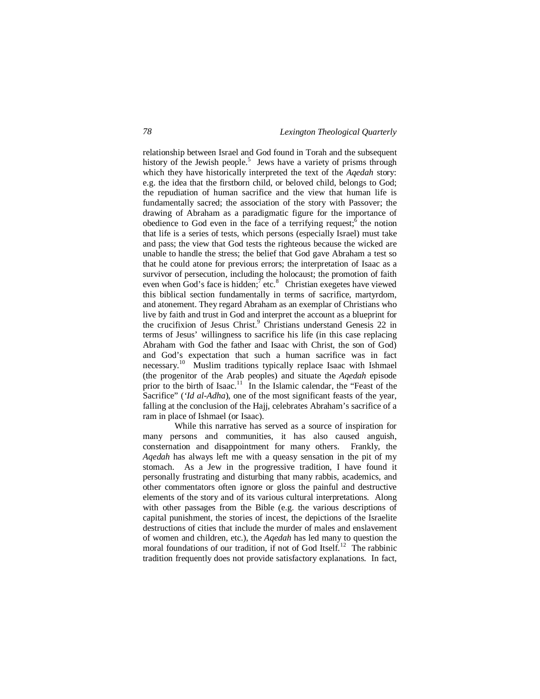relationship between Israel and God found in Torah and the subsequent history of the Jewish people.<sup>5</sup> Jews have a variety of prisms through which they have historically interpreted the text of the *Aqedah* story: e.g. the idea that the firstborn child, or beloved child, belongs to God; the repudiation of human sacrifice and the view that human life is fundamentally sacred; the association of the story with Passover; the drawing of Abraham as a paradigmatic figure for the importance of obedience to God even in the face of a terrifying request;  $\delta$  the notion that life is a series of tests, which persons (especially Israel) must take and pass; the view that God tests the righteous because the wicked are unable to handle the stress; the belief that God gave Abraham a test so that he could atone for previous errors; the interpretation of Isaac as a survivor of persecution, including the holocaust; the promotion of faith even when God's face is hidden;  $\bar{f}$  etc.<sup>8</sup> Christian exegetes have viewed this biblical section fundamentally in terms of sacrifice, martyrdom, and atonement. They regard Abraham as an exemplar of Christians who live by faith and trust in God and interpret the account as a blueprint for the crucifixion of Jesus Christ.<sup>9</sup> Christians understand Genesis 22 in terms of Jesus' willingness to sacrifice his life (in this case replacing Abraham with God the father and Isaac with Christ, the son of God) and God's expectation that such a human sacrifice was in fact necessary.<sup>10</sup> Muslim traditions typically replace Isaac with Ishmael (the progenitor of the Arab peoples) and situate the *Aqedah* episode prior to the birth of Isaac.<sup>11</sup> In the Islamic calendar, the "Feast of the Sacrifice" (*'Id al-Adha*), one of the most significant feasts of the year, falling at the conclusion of the Hajj, celebrates Abraham's sacrifice of a ram in place of Ishmael (or Isaac).

While this narrative has served as a source of inspiration for many persons and communities, it has also caused anguish, consternation and disappointment for many others. Frankly, the *Aqedah* has always left me with a queasy sensation in the pit of my stomach. As a Jew in the progressive tradition, I have found it personally frustrating and disturbing that many rabbis, academics, and other commentators often ignore or gloss the painful and destructive elements of the story and of its various cultural interpretations. Along with other passages from the Bible (e.g. the various descriptions of capital punishment, the stories of incest, the depictions of the Israelite destructions of cities that include the murder of males and enslavement of women and children, etc.), the *Aqedah* has led many to question the moral foundations of our tradition, if not of God Itself.<sup>12</sup> The rabbinic tradition frequently does not provide satisfactory explanations. In fact,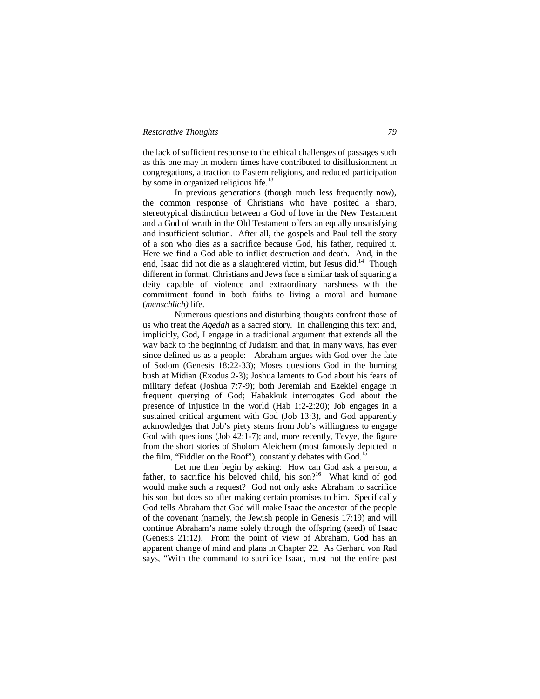the lack of sufficient response to the ethical challenges of passages such as this one may in modern times have contributed to disillusionment in congregations, attraction to Eastern religions, and reduced participation by some in organized religious life. $^{13}$ 

In previous generations (though much less frequently now), the common response of Christians who have posited a sharp, stereotypical distinction between a God of love in the New Testament and a God of wrath in the Old Testament offers an equally unsatisfying and insufficient solution. After all, the gospels and Paul tell the story of a son who dies as a sacrifice because God, his father, required it. Here we find a God able to inflict destruction and death. And, in the end, Isaac did not die as a slaughtered victim, but Jesus did.<sup>14</sup> Though different in format, Christians and Jews face a similar task of squaring a deity capable of violence and extraordinary harshness with the commitment found in both faiths to living a moral and humane (*menschlich)* life.

Numerous questions and disturbing thoughts confront those of us who treat the *Aqedah* as a sacred story. In challenging this text and, implicitly, God, I engage in a traditional argument that extends all the way back to the beginning of Judaism and that, in many ways, has ever since defined us as a people: Abraham argues with God over the fate of Sodom (Genesis 18:22-33); Moses questions God in the burning bush at Midian (Exodus 2-3); Joshua laments to God about his fears of military defeat (Joshua 7:7-9); both Jeremiah and Ezekiel engage in frequent querying of God; Habakkuk interrogates God about the presence of injustice in the world (Hab 1:2-2:20); Job engages in a sustained critical argument with God (Job 13:3), and God apparently acknowledges that Job's piety stems from Job's willingness to engage God with questions (Job 42:1-7); and, more recently, Tevye, the figure from the short stories of Sholom Aleichem (most famously depicted in the film, "Fiddler on the Roof"), constantly debates with God.<sup>1</sup>

Let me then begin by asking: How can God ask a person, a father, to sacrifice his beloved child, his son?<sup>16</sup> What kind of god would make such a request? God not only asks Abraham to sacrifice his son, but does so after making certain promises to him. Specifically God tells Abraham that God will make Isaac the ancestor of the people of the covenant (namely, the Jewish people in Genesis 17:19) and will continue Abraham's name solely through the offspring (seed) of Isaac (Genesis 21:12). From the point of view of Abraham, God has an apparent change of mind and plans in Chapter 22. As Gerhard von Rad says, "With the command to sacrifice Isaac, must not the entire past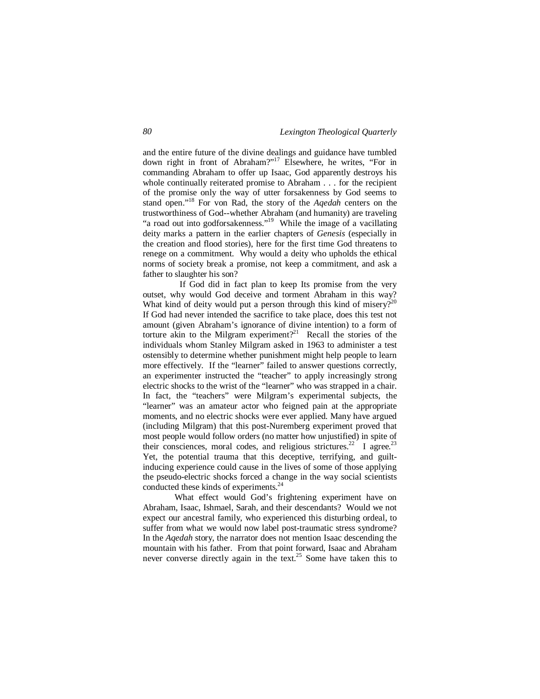and the entire future of the divine dealings and guidance have tumbled down right in front of Abraham?"<sup>17</sup> Elsewhere, he writes, "For in commanding Abraham to offer up Isaac, God apparently destroys his whole continually reiterated promise to Abraham . . . for the recipient of the promise only the way of utter forsakenness by God seems to stand open."<sup>18</sup> For von Rad, the story of the *Aqedah* centers on the trustworthiness of God--whether Abraham (and humanity) are traveling "a road out into godforsakenness."<sup>19</sup> While the image of a vacillating deity marks a pattern in the earlier chapters of *Genesis* (especially in the creation and flood stories), here for the first time God threatens to renege on a commitment. Why would a deity who upholds the ethical norms of society break a promise, not keep a commitment, and ask a father to slaughter his son?

 If God did in fact plan to keep Its promise from the very outset, why would God deceive and torment Abraham in this way? What kind of deity would put a person through this kind of misery? $2^{20}$ If God had never intended the sacrifice to take place, does this test not amount (given Abraham's ignorance of divine intention) to a form of torture akin to the Milgram experiment?<sup>21</sup> Recall the stories of the individuals whom Stanley Milgram asked in 1963 to administer a test ostensibly to determine whether punishment might help people to learn more effectively. If the "learner" failed to answer questions correctly, an experimenter instructed the "teacher" to apply increasingly strong electric shocks to the wrist of the "learner" who was strapped in a chair. In fact, the "teachers" were Milgram's experimental subjects, the "learner" was an amateur actor who feigned pain at the appropriate moments, and no electric shocks were ever applied. Many have argued (including Milgram) that this post-Nuremberg experiment proved that most people would follow orders (no matter how unjustified) in spite of their consciences, moral codes, and religious strictures.<sup>22</sup> I agree.<sup>23</sup> Yet, the potential trauma that this deceptive, terrifying, and guiltinducing experience could cause in the lives of some of those applying the pseudo-electric shocks forced a change in the way social scientists conducted these kinds of experiments.<sup>24</sup>

What effect would God's frightening experiment have on Abraham, Isaac, Ishmael, Sarah, and their descendants? Would we not expect our ancestral family, who experienced this disturbing ordeal, to suffer from what we would now label post-traumatic stress syndrome? In the *Aqedah* story, the narrator does not mention Isaac descending the mountain with his father. From that point forward, Isaac and Abraham never converse directly again in the text.<sup>25</sup> Some have taken this to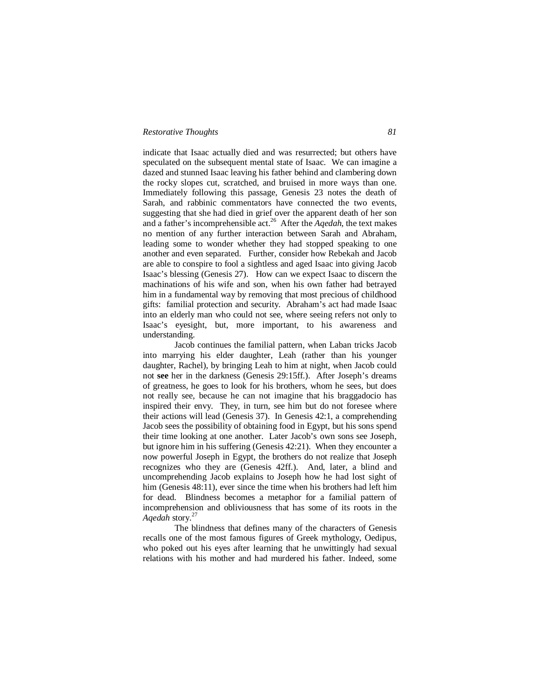indicate that Isaac actually died and was resurrected; but others have speculated on the subsequent mental state of Isaac. We can imagine a dazed and stunned Isaac leaving his father behind and clambering down the rocky slopes cut, scratched, and bruised in more ways than one. Immediately following this passage, Genesis 23 notes the death of Sarah, and rabbinic commentators have connected the two events, suggesting that she had died in grief over the apparent death of her son and a father's incomprehensible act.<sup>26</sup> After the *Aqedah*, the text makes no mention of any further interaction between Sarah and Abraham, leading some to wonder whether they had stopped speaking to one another and even separated. Further, consider how Rebekah and Jacob are able to conspire to fool a sightless and aged Isaac into giving Jacob Isaac's blessing (Genesis 27). How can we expect Isaac to discern the machinations of his wife and son, when his own father had betrayed him in a fundamental way by removing that most precious of childhood gifts: familial protection and security. Abraham's act had made Isaac into an elderly man who could not see, where seeing refers not only to Isaac's eyesight, but, more important, to his awareness and understanding.

Jacob continues the familial pattern, when Laban tricks Jacob into marrying his elder daughter, Leah (rather than his younger daughter, Rachel), by bringing Leah to him at night, when Jacob could not **see** her in the darkness (Genesis 29:15ff.). After Joseph's dreams of greatness, he goes to look for his brothers, whom he sees, but does not really see, because he can not imagine that his braggadocio has inspired their envy. They, in turn, see him but do not foresee where their actions will lead (Genesis 37). In Genesis 42:1, a comprehending Jacob sees the possibility of obtaining food in Egypt, but his sons spend their time looking at one another. Later Jacob's own sons see Joseph, but ignore him in his suffering (Genesis 42:21). When they encounter a now powerful Joseph in Egypt, the brothers do not realize that Joseph recognizes who they are (Genesis 42ff.). And, later, a blind and uncomprehending Jacob explains to Joseph how he had lost sight of him (Genesis 48:11), ever since the time when his brothers had left him for dead. Blindness becomes a metaphor for a familial pattern of incomprehension and obliviousness that has some of its roots in the *Aqedah* story. 27

The blindness that defines many of the characters of Genesis recalls one of the most famous figures of Greek mythology, Oedipus, who poked out his eyes after learning that he unwittingly had sexual relations with his mother and had murdered his father. Indeed, some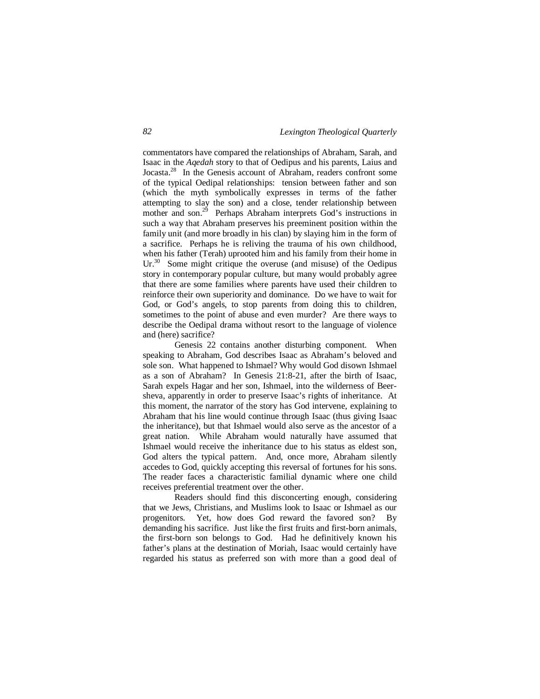commentators have compared the relationships of Abraham, Sarah, and Isaac in the *Aqedah* story to that of Oedipus and his parents, Laius and Jocasta.<sup>28</sup> In the Genesis account of Abraham, readers confront some of the typical Oedipal relationships: tension between father and son (which the myth symbolically expresses in terms of the father attempting to slay the son) and a close, tender relationship between mother and son.<sup>29</sup> Perhaps Abraham interprets God's instructions in such a way that Abraham preserves his preeminent position within the family unit (and more broadly in his clan) by slaying him in the form of a sacrifice. Perhaps he is reliving the trauma of his own childhood, when his father (Terah) uprooted him and his family from their home in Ur. $30$  Some might critique the overuse (and misuse) of the Oedipus story in contemporary popular culture, but many would probably agree that there are some families where parents have used their children to reinforce their own superiority and dominance. Do we have to wait for God, or God's angels, to stop parents from doing this to children, sometimes to the point of abuse and even murder? Are there ways to describe the Oedipal drama without resort to the language of violence and (here) sacrifice?

Genesis 22 contains another disturbing component. When speaking to Abraham, God describes Isaac as Abraham's beloved and sole son. What happened to Ishmael? Why would God disown Ishmael as a son of Abraham? In Genesis 21:8-21, after the birth of Isaac, Sarah expels Hagar and her son, Ishmael, into the wilderness of Beersheva, apparently in order to preserve Isaac's rights of inheritance. At this moment, the narrator of the story has God intervene, explaining to Abraham that his line would continue through Isaac (thus giving Isaac the inheritance), but that Ishmael would also serve as the ancestor of a great nation. While Abraham would naturally have assumed that Ishmael would receive the inheritance due to his status as eldest son, God alters the typical pattern. And, once more, Abraham silently accedes to God, quickly accepting this reversal of fortunes for his sons. The reader faces a characteristic familial dynamic where one child receives preferential treatment over the other.

Readers should find this disconcerting enough, considering that we Jews, Christians, and Muslims look to Isaac or Ishmael as our progenitors. Yet, how does God reward the favored son? By demanding his sacrifice. Just like the first fruits and first-born animals, the first-born son belongs to God. Had he definitively known his father's plans at the destination of Moriah, Isaac would certainly have regarded his status as preferred son with more than a good deal of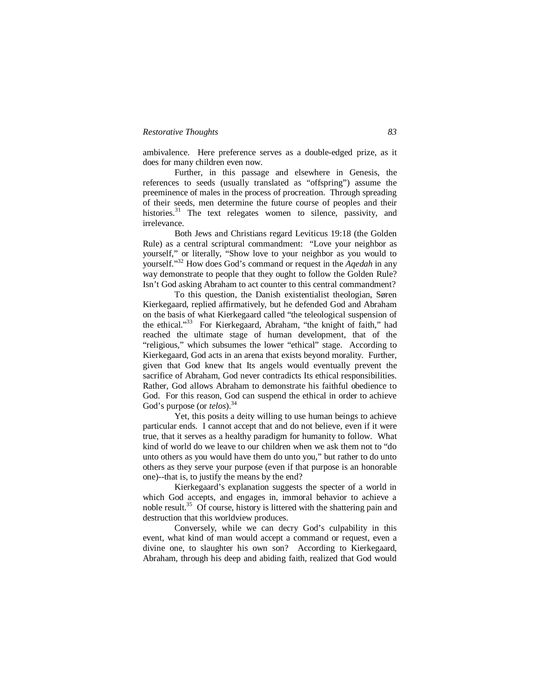ambivalence. Here preference serves as a double-edged prize, as it does for many children even now.

Further, in this passage and elsewhere in Genesis, the references to seeds (usually translated as "offspring") assume the preeminence of males in the process of procreation. Through spreading of their seeds, men determine the future course of peoples and their histories.<sup>31</sup> The text relegates women to silence, passivity, and irrelevance.

Both Jews and Christians regard Leviticus 19:18 (the Golden Rule) as a central scriptural commandment: "Love your neighbor as yourself," or literally, "Show love to your neighbor as you would to yourself."<sup>32</sup> How does God's command or request in the *Aqedah* in any way demonstrate to people that they ought to follow the Golden Rule? Isn't God asking Abraham to act counter to this central commandment?

To this question, the Danish existentialist theologian, Søren Kierkegaard, replied affirmatively, but he defended God and Abraham on the basis of what Kierkegaard called "the teleological suspension of the ethical."<sup>33</sup> For Kierkegaard, Abraham, "the knight of faith," had reached the ultimate stage of human development, that of the "religious," which subsumes the lower "ethical" stage. According to Kierkegaard, God acts in an arena that exists beyond morality. Further, given that God knew that Its angels would eventually prevent the sacrifice of Abraham, God never contradicts Its ethical responsibilities. Rather, God allows Abraham to demonstrate his faithful obedience to God. For this reason, God can suspend the ethical in order to achieve God's purpose (or *telos*).<sup>34</sup>

Yet, this posits a deity willing to use human beings to achieve particular ends. I cannot accept that and do not believe, even if it were true, that it serves as a healthy paradigm for humanity to follow. What kind of world do we leave to our children when we ask them not to "do unto others as you would have them do unto you," but rather to do unto others as they serve your purpose (even if that purpose is an honorable one)--that is, to justify the means by the end?

Kierkegaard's explanation suggests the specter of a world in which God accepts, and engages in, immoral behavior to achieve a noble result.<sup>35</sup> Of course, history is littered with the shattering pain and destruction that this worldview produces.

Conversely, while we can decry God's culpability in this event, what kind of man would accept a command or request, even a divine one, to slaughter his own son? According to Kierkegaard, Abraham, through his deep and abiding faith, realized that God would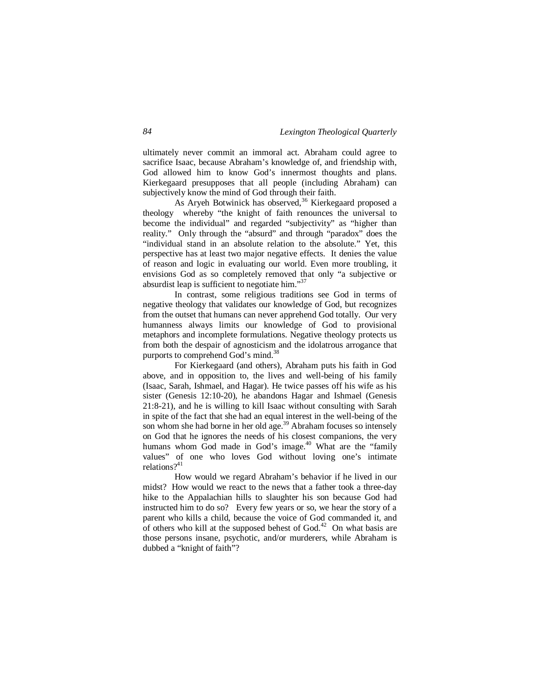ultimately never commit an immoral act. Abraham could agree to sacrifice Isaac, because Abraham's knowledge of, and friendship with, God allowed him to know God's innermost thoughts and plans. Kierkegaard presupposes that all people (including Abraham) can subjectively know the mind of God through their faith.

As Aryeh Botwinick has observed,<sup>36</sup> Kierkegaard proposed a theology whereby "the knight of faith renounces the universal to become the individual" and regarded "subjectivity" as "higher than reality." Only through the "absurd" and through "paradox" does the "individual stand in an absolute relation to the absolute." Yet, this perspective has at least two major negative effects. It denies the value of reason and logic in evaluating our world. Even more troubling, it envisions God as so completely removed that only "a subjective or absurdist leap is sufficient to negotiate him."<sup>37</sup>

In contrast, some religious traditions see God in terms of negative theology that validates our knowledge of God, but recognizes from the outset that humans can never apprehend God totally. Our very humanness always limits our knowledge of God to provisional metaphors and incomplete formulations. Negative theology protects us from both the despair of agnosticism and the idolatrous arrogance that purports to comprehend God's mind.<sup>38</sup>

For Kierkegaard (and others), Abraham puts his faith in God above, and in opposition to, the lives and well-being of his family (Isaac, Sarah, Ishmael, and Hagar). He twice passes off his wife as his sister (Genesis 12:10-20), he abandons Hagar and Ishmael (Genesis 21:8-21), and he is willing to kill Isaac without consulting with Sarah in spite of the fact that she had an equal interest in the well-being of the son whom she had borne in her old age.<sup>39</sup> Abraham focuses so intensely on God that he ignores the needs of his closest companions, the very humans whom God made in God's image.<sup>40</sup> What are the "family values" of one who loves God without loving one's intimate relations? $41$ 

How would we regard Abraham's behavior if he lived in our midst? How would we react to the news that a father took a three-day hike to the Appalachian hills to slaughter his son because God had instructed him to do so? Every few years or so, we hear the story of a parent who kills a child, because the voice of God commanded it, and of others who kill at the supposed behest of  $God.<sup>42</sup>$  On what basis are those persons insane, psychotic, and/or murderers, while Abraham is dubbed a "knight of faith"?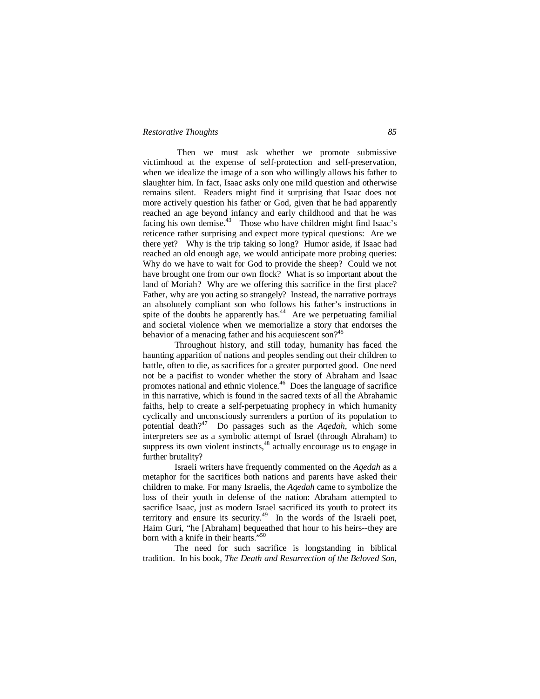Then we must ask whether we promote submissive victimhood at the expense of self-protection and self-preservation, when we idealize the image of a son who willingly allows his father to slaughter him. In fact, Isaac asks only one mild question and otherwise remains silent. Readers might find it surprising that Isaac does not more actively question his father or God, given that he had apparently reached an age beyond infancy and early childhood and that he was facing his own demise. $43$  Those who have children might find Isaac's reticence rather surprising and expect more typical questions: Are we there yet? Why is the trip taking so long? Humor aside, if Isaac had reached an old enough age, we would anticipate more probing queries: Why do we have to wait for God to provide the sheep? Could we not have brought one from our own flock? What is so important about the land of Moriah? Why are we offering this sacrifice in the first place? Father, why are you acting so strangely? Instead, the narrative portrays an absolutely compliant son who follows his father's instructions in spite of the doubts he apparently has. $44$  Are we perpetuating familial and societal violence when we memorialize a story that endorses the behavior of a menacing father and his acquiescent son?<sup>45</sup>

Throughout history, and still today, humanity has faced the haunting apparition of nations and peoples sending out their children to battle, often to die, as sacrifices for a greater purported good. One need not be a pacifist to wonder whether the story of Abraham and Isaac promotes national and ethnic violence.<sup>46</sup> Does the language of sacrifice in this narrative, which is found in the sacred texts of all the Abrahamic faiths, help to create a self-perpetuating prophecy in which humanity cyclically and unconsciously surrenders a portion of its population to potential death?<sup>47</sup> Do passages such as the *Aqedah*, which some interpreters see as a symbolic attempt of Israel (through Abraham) to suppress its own violent instincts,<sup>48</sup> actually encourage us to engage in further brutality?

Israeli writers have frequently commented on the *Aqedah* as a metaphor for the sacrifices both nations and parents have asked their children to make. For many Israelis, the *Aqedah* came to symbolize the loss of their youth in defense of the nation: Abraham attempted to sacrifice Isaac, just as modern Israel sacrificed its youth to protect its territory and ensure its security.<sup>49</sup> In the words of the Israeli poet, Haim Guri, "he [Abraham] bequeathed that hour to his heirs--they are born with a knife in their hearts."<sup>50</sup>

The need for such sacrifice is longstanding in biblical tradition. In his book, *The Death and Resurrection of the Beloved Son*,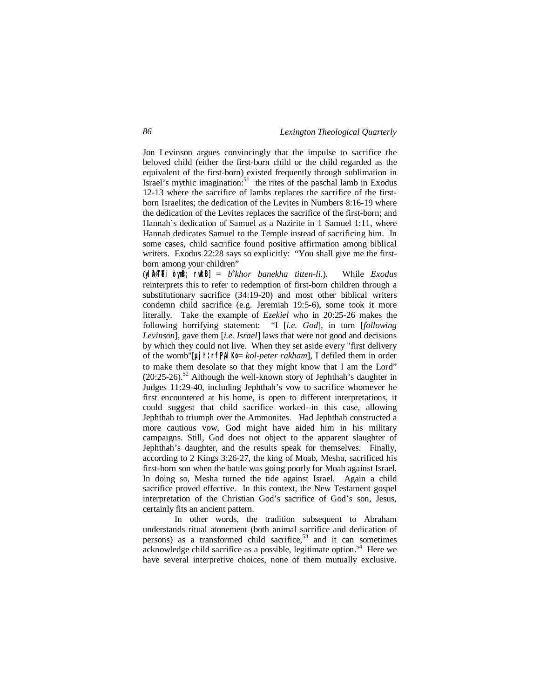Jon Levinson argues convincingly that the impulse to sacrifice the beloved child (either the first-born child or the child regarded as the equivalent of the first-born) existed frequently through sublimation in Israel's mythic imagination:<sup>51</sup> the rites of the paschal lamb in Exodus 12-13 where the sacrifice of lambs replaces the sacrifice of the firstborn Israelites; the dedication of the Levites in Numbers 8:16-19 where the dedication of the Levites replaces the sacrifice of the first-born; and Hannah's dedication of Samuel as a Nazirite in 1 Samuel 1:11, where Hannah dedicates Samuel to the Temple instead of sacrificing him. In some cases, child sacrifice found positive affirmation among biblical writers. Exodus 22:28 says so explicitly: "You shall give me the firstborn among your children"

(**yliA÷TeTi òyn<B; rw\*kB]** = *b* e *khor banekha titten-li.*). While *Exodus* reinterprets this to refer to redemption of first-born children through a substitutionary sacrifice (34:19-20) and most other biblical writers condemn child sacrifice (e.g. Jeremiah 19:5-6), some took it more literally. Take the example of *Ezekiel* who in 20:25-26 makes the following horrifying statement: "I [*i.e. God*], in turn [*following Levinson*], gave them [*i.e. Israel*] laws that were not good and decisions by which they could not live. When they set aside every "first delivery of the womb"[**µj'r: rf,P,AlKo** = *kol-peter rakham*], I defiled them in order to make them desolate so that they might know that I am the Lord"  $(20:25-26)$ <sup>52</sup> Although the well-known story of Jephthah's daughter in Judges 11:29-40, including Jephthah's vow to sacrifice whomever he first encountered at his home, is open to different interpretations, it could suggest that child sacrifice worked--in this case, allowing Jephthah to triumph over the Ammonites. Had Jephthah constructed a more cautious vow, God might have aided him in his military campaigns. Still, God does not object to the apparent slaughter of Jephthah's daughter, and the results speak for themselves. Finally, according to 2 Kings 3:26-27, the king of Moab, Mesha, sacrificed his first-born son when the battle was going poorly for Moab against Israel. In doing so, Mesha turned the tide against Israel. Again a child sacrifice proved effective. In this context, the New Testament gospel interpretation of the Christian God's sacrifice of God's son, Jesus, certainly fits an ancient pattern.

In other words, the tradition subsequent to Abraham understands ritual atonement (both animal sacrifice and dedication of persons) as a transformed child sacrifice, $53$  and it can sometimes acknowledge child sacrifice as a possible, legitimate option.<sup>54</sup> Here we have several interpretive choices, none of them mutually exclusive.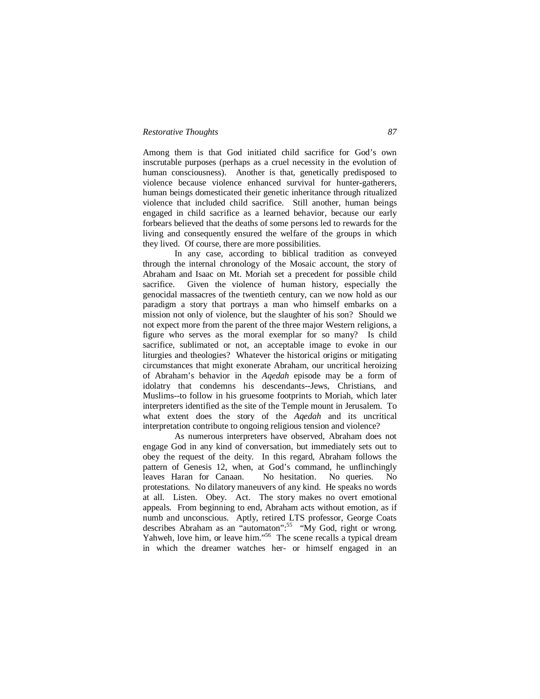Among them is that God initiated child sacrifice for God's own inscrutable purposes (perhaps as a cruel necessity in the evolution of human consciousness). Another is that, genetically predisposed to violence because violence enhanced survival for hunter-gatherers, human beings domesticated their genetic inheritance through ritualized violence that included child sacrifice. Still another, human beings engaged in child sacrifice as a learned behavior, because our early forbears believed that the deaths of some persons led to rewards for the living and consequently ensured the welfare of the groups in which they lived. Of course, there are more possibilities.

In any case, according to biblical tradition as conveyed through the internal chronology of the Mosaic account, the story of Abraham and Isaac on Mt. Moriah set a precedent for possible child sacrifice. Given the violence of human history, especially the genocidal massacres of the twentieth century, can we now hold as our paradigm a story that portrays a man who himself embarks on a mission not only of violence, but the slaughter of his son? Should we not expect more from the parent of the three major Western religions, a figure who serves as the moral exemplar for so many? Is child sacrifice, sublimated or not, an acceptable image to evoke in our liturgies and theologies? Whatever the historical origins or mitigating circumstances that might exonerate Abraham, our uncritical heroizing of Abraham's behavior in the *Aqedah* episode may be a form of idolatry that condemns his descendants--Jews, Christians, and Muslims--to follow in his gruesome footprints to Moriah, which later interpreters identified as the site of the Temple mount in Jerusalem. To what extent does the story of the *Aqedah* and its uncritical interpretation contribute to ongoing religious tension and violence?

As numerous interpreters have observed, Abraham does not engage God in any kind of conversation, but immediately sets out to obey the request of the deity. In this regard, Abraham follows the pattern of Genesis 12, when, at God's command, he unflinchingly leaves Haran for Canaan. No hesitation. No queries. No protestations. No dilatory maneuvers of any kind. He speaks no words at all. Listen. Obey. Act. The story makes no overt emotional appeals. From beginning to end, Abraham acts without emotion, as if numb and unconscious. Aptly, retired LTS professor, George Coats describes Abraham as an "automaton":<sup>55</sup> "My God, right or wrong. Yahweh, love him, or leave him."<sup>56</sup> The scene recalls a typical dream in which the dreamer watches her- or himself engaged in an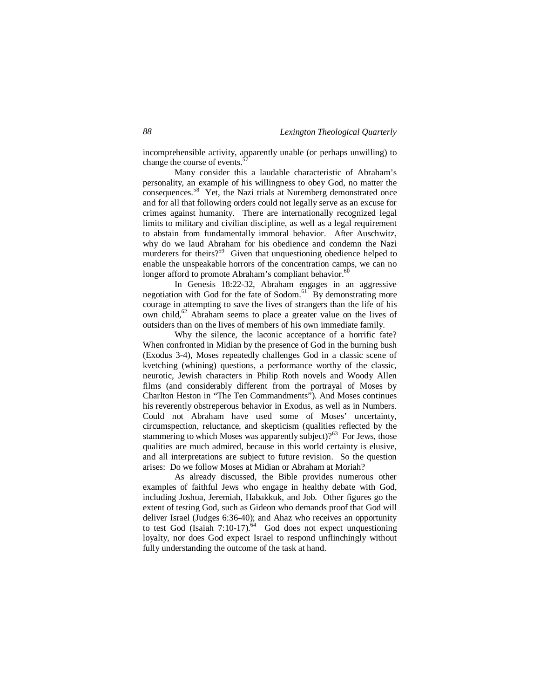incomprehensible activity, apparently unable (or perhaps unwilling) to change the course of events.<sup>5</sup>

Many consider this a laudable characteristic of Abraham's personality, an example of his willingness to obey God, no matter the consequences.<sup>58</sup> Yet, the Nazi trials at Nuremberg demonstrated once and for all that following orders could not legally serve as an excuse for crimes against humanity. There are internationally recognized legal limits to military and civilian discipline, as well as a legal requirement to abstain from fundamentally immoral behavior. After Auschwitz, why do we laud Abraham for his obedience and condemn the Nazi murderers for theirs?<sup>59</sup> Given that unquestioning obedience helped to enable the unspeakable horrors of the concentration camps, we can no longer afford to promote Abraham's compliant behavior.<sup>60</sup>

In Genesis 18:22-32, Abraham engages in an aggressive negotiation with God for the fate of Sodom. $61^\circ$  By demonstrating more courage in attempting to save the lives of strangers than the life of his own child,<sup>62</sup> Abraham seems to place a greater value on the lives of outsiders than on the lives of members of his own immediate family.

Why the silence, the laconic acceptance of a horrific fate? When confronted in Midian by the presence of God in the burning bush (Exodus 3-4), Moses repeatedly challenges God in a classic scene of kvetching (whining) questions, a performance worthy of the classic, neurotic, Jewish characters in Philip Roth novels and Woody Allen films (and considerably different from the portrayal of Moses by Charlton Heston in "The Ten Commandments"). And Moses continues his reverently obstreperous behavior in Exodus, as well as in Numbers. Could not Abraham have used some of Moses' uncertainty, circumspection, reluctance, and skepticism (qualities reflected by the stammering to which Moses was apparently subject)? $63$  For Jews, those qualities are much admired, because in this world certainty is elusive, and all interpretations are subject to future revision. So the question arises: Do we follow Moses at Midian or Abraham at Moriah?

As already discussed, the Bible provides numerous other examples of faithful Jews who engage in healthy debate with God, including Joshua, Jeremiah, Habakkuk, and Job. Other figures go the extent of testing God, such as Gideon who demands proof that God will deliver Israel (Judges 6:36-40); and Ahaz who receives an opportunity to test God (Isaiah  $7:10-17$ ).<sup>64</sup> God does not expect unquestioning loyalty, nor does God expect Israel to respond unflinchingly without fully understanding the outcome of the task at hand.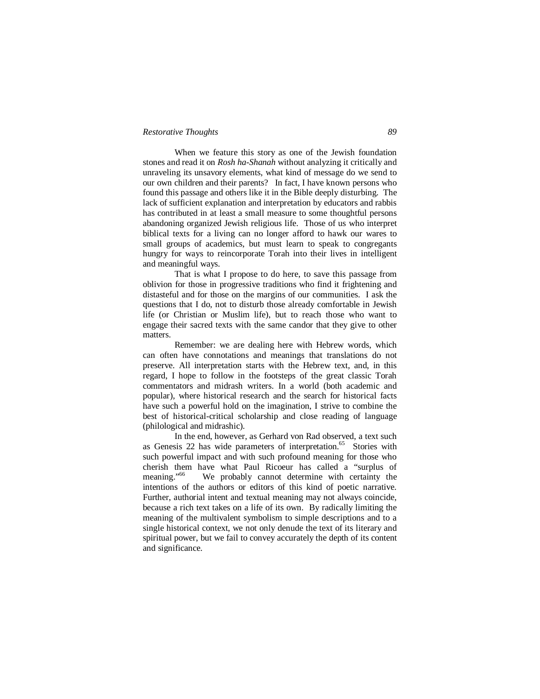When we feature this story as one of the Jewish foundation stones and read it on *Rosh ha-Shanah* without analyzing it critically and unraveling its unsavory elements, what kind of message do we send to our own children and their parents? In fact, I have known persons who found this passage and others like it in the Bible deeply disturbing. The lack of sufficient explanation and interpretation by educators and rabbis has contributed in at least a small measure to some thoughtful persons abandoning organized Jewish religious life. Those of us who interpret biblical texts for a living can no longer afford to hawk our wares to small groups of academics, but must learn to speak to congregants hungry for ways to reincorporate Torah into their lives in intelligent and meaningful ways.

That is what I propose to do here, to save this passage from oblivion for those in progressive traditions who find it frightening and distasteful and for those on the margins of our communities. I ask the questions that I do, not to disturb those already comfortable in Jewish life (or Christian or Muslim life), but to reach those who want to engage their sacred texts with the same candor that they give to other matters.

Remember: we are dealing here with Hebrew words, which can often have connotations and meanings that translations do not preserve. All interpretation starts with the Hebrew text, and, in this regard, I hope to follow in the footsteps of the great classic Torah commentators and midrash writers. In a world (both academic and popular), where historical research and the search for historical facts have such a powerful hold on the imagination, I strive to combine the best of historical-critical scholarship and close reading of language (philological and midrashic).

In the end, however, as Gerhard von Rad observed, a text such as Genesis 22 has wide parameters of interpretation.<sup>65</sup> Stories with such powerful impact and with such profound meaning for those who cherish them have what Paul Ricoeur has called a "surplus of meaning."<sup>66</sup> We probably cannot determine with certainty the intentions of the authors or editors of this kind of poetic narrative. Further, authorial intent and textual meaning may not always coincide, because a rich text takes on a life of its own. By radically limiting the meaning of the multivalent symbolism to simple descriptions and to a single historical context, we not only denude the text of its literary and spiritual power, but we fail to convey accurately the depth of its content and significance.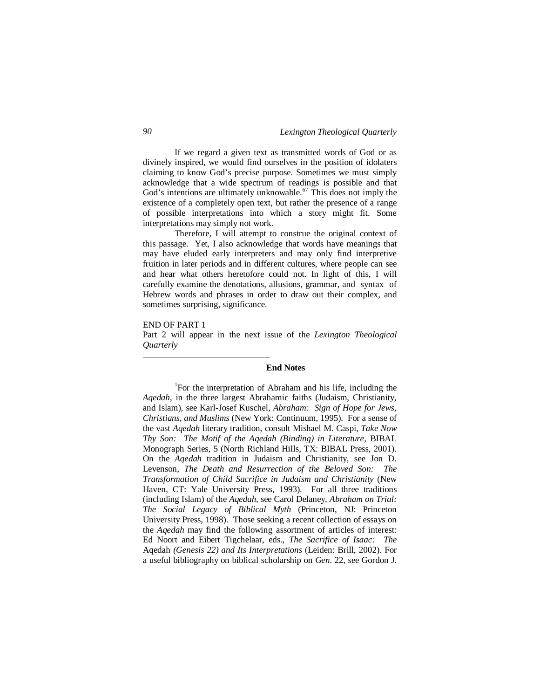If we regard a given text as transmitted words of God or as divinely inspired, we would find ourselves in the position of idolaters claiming to know God's precise purpose. Sometimes we must simply acknowledge that a wide spectrum of readings is possible and that God's intentions are ultimately unknowable.<sup>67</sup> This does not imply the existence of a completely open text, but rather the presence of a range of possible interpretations into which a story might fit. Some interpretations may simply not work.

Therefore, I will attempt to construe the original context of this passage. Yet, I also acknowledge that words have meanings that may have eluded early interpreters and may only find interpretive fruition in later periods and in different cultures, where people can see and hear what others heretofore could not. In light of this, I will carefully examine the denotations, allusions, grammar, and syntax of Hebrew words and phrases in order to draw out their complex, and sometimes surprising, significance.

#### END OF PART 1

1

Part 2 will appear in the next issue of the *Lexington Theological Quarterly*

#### **End Notes**

<sup>1</sup>For the interpretation of Abraham and his life, including the *Aqedah*, in the three largest Abrahamic faiths (Judaism, Christianity, and Islam), see Karl-Josef Kuschel, *Abraham: Sign of Hope for Jews, Christians, and Muslims* (New York: Continuum, 1995). For a sense of the vast *Aqedah* literary tradition, consult Mishael M. Caspi, *Take Now Thy Son: The Motif of the Aqedah (Binding) in Literature*, BIBAL Monograph Series, 5 (North Richland Hills, TX: BIBAL Press, 2001). On the *Aqedah* tradition in Judaism and Christianity, see Jon D. Levenson, *The Death and Resurrection of the Beloved Son: The Transformation of Child Sacrifice in Judaism and Christianity* (New Haven, CT: Yale University Press, 1993). For all three traditions (including Islam) of the *Aqedah*, see Carol Delaney, *Abraham on Trial: The Social Legacy of Biblical Myth* (Princeton, NJ: Princeton University Press, 1998). Those seeking a recent collection of essays on the *Aqedah* may find the following assortment of articles of interest: Ed Noort and Eibert Tigchelaar, eds., *The Sacrifice of Isaac: The*  Aqedah *(Genesis 22) and Its Interpretations* (Leiden: Brill, 2002). For a useful bibliography on biblical scholarship on *Gen*. 22, see Gordon J.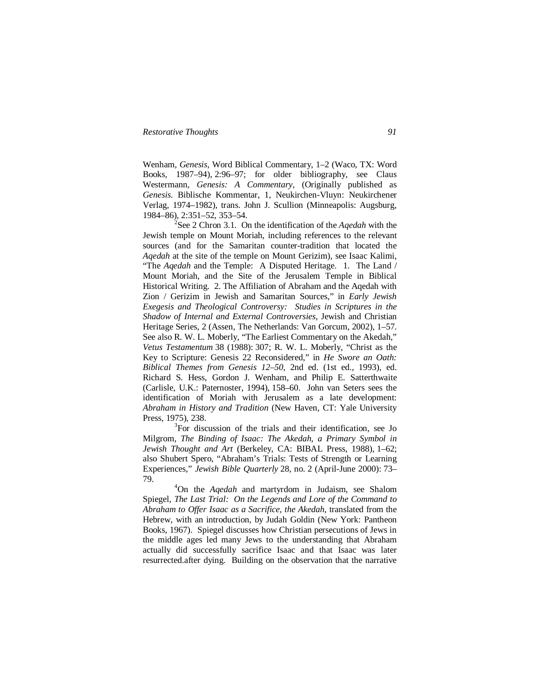Wenham, *Genesis*, Word Biblical Commentary, 1–2 (Waco, TX: Word Books, 1987–94), 2:96–97; for older bibliography, see Claus Westermann, *Genesis: A Commentary*, (Originally published as *Genesis*. Biblische Kommentar, 1, Neukirchen-Vluyn: Neukirchener Verlag, 1974–1982), trans. John J. Scullion (Minneapolis: Augsburg, 1984–86), 2:351–52, 353–54.

2 See 2 Chron 3.1. On the identification of the *Aqedah* with the Jewish temple on Mount Moriah, including references to the relevant sources (and for the Samaritan counter-tradition that located the *Aqedah* at the site of the temple on Mount Gerizim), see Isaac Kalimi, "The *Aqedah* and the Temple: A Disputed Heritage. 1. The Land / Mount Moriah, and the Site of the Jerusalem Temple in Biblical Historical Writing. 2. The Affiliation of Abraham and the Aqedah with Zion / Gerizim in Jewish and Samaritan Sources," in *Early Jewish Exegesis and Theological Controversy: Studies in Scriptures in the Shadow of Internal and External Controversies*, Jewish and Christian Heritage Series, 2 (Assen, The Netherlands: Van Gorcum, 2002), 1–57. See also R. W. L. Moberly, "The Earliest Commentary on the Akedah," *Vetus Testamentum* 38 (1988): 307; R. W. L. Moberly, "Christ as the Key to Scripture: Genesis 22 Reconsidered," in *He Swore an Oath: Biblical Themes from Genesis 12–50*, 2nd ed. (1st ed., 1993), ed. Richard S. Hess, Gordon J. Wenham, and Philip E. Satterthwaite (Carlisle, U.K.: Paternoster, 1994), 158–60. John van Seters sees the identification of Moriah with Jerusalem as a late development: *Abraham in History and Tradition* (New Haven, CT: Yale University Press, 1975), 238.

<sup>3</sup>For discussion of the trials and their identification, see Jo Milgrom, *The Binding of Isaac: The Akedah, a Primary Symbol in Jewish Thought and Art* (Berkeley, CA: BIBAL Press, 1988), 1–62; also Shubert Spero, "Abraham's Trials: Tests of Strength or Learning Experiences," *Jewish Bible Quarterly* 28, no. 2 (April-June 2000): 73– 79.

<sup>4</sup>On the *Aqedah* and martyrdom in Judaism, see Shalom Spiegel, *The Last Trial: On the Legends and Lore of the Command to Abraham to Offer Isaac as a Sacrifice, the Akedah*, translated from the Hebrew, with an introduction, by Judah Goldin (New York: Pantheon Books, 1967). Spiegel discusses how Christian persecutions of Jews in the middle ages led many Jews to the understanding that Abraham actually did successfully sacrifice Isaac and that Isaac was later resurrected.after dying. Building on the observation that the narrative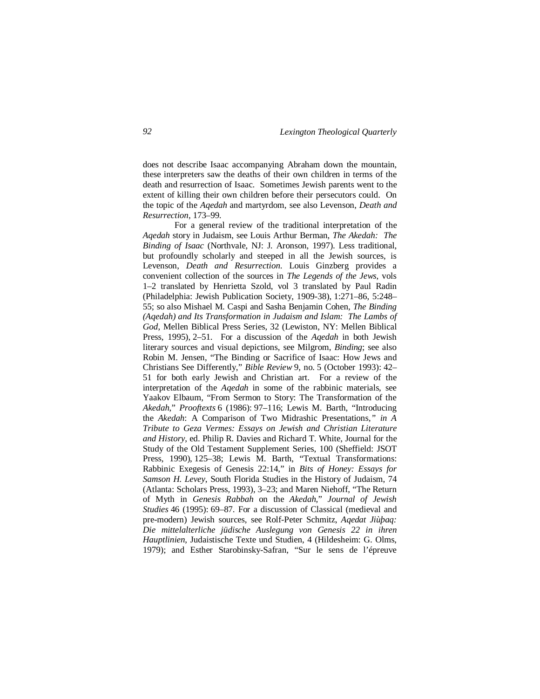does not describe Isaac accompanying Abraham down the mountain, these interpreters saw the deaths of their own children in terms of the death and resurrection of Isaac. Sometimes Jewish parents went to the extent of killing their own children before their persecutors could. On the topic of the *Aqedah* and martyrdom, see also Levenson, *Death and Resurrection*, 173–99.

For a general review of the traditional interpretation of the *Aqedah* story in Judaism, see Louis Arthur Berman, *The Akedah: The Binding of Isaac* (Northvale, NJ: J. Aronson, 1997). Less traditional, but profoundly scholarly and steeped in all the Jewish sources, is Levenson, *Death and Resurrection*. Louis Ginzberg provides a convenient collection of the sources in *The Legends of the Jews*, vols 1–2 translated by Henrietta Szold, vol 3 translated by Paul Radin (Philadelphia: Jewish Publication Society, 1909-38), 1:271–86, 5:248– 55; so also Mishael M. Caspi and Sasha Benjamin Cohen, *The Binding (Aqedah) and Its Transformation in Judaism and Islam: The Lambs of God*, Mellen Biblical Press Series, 32 (Lewiston, NY: Mellen Biblical Press, 1995), 2–51. For a discussion of the *Aqedah* in both Jewish literary sources and visual depictions, see Milgrom, *Binding*; see also Robin M. Jensen, "The Binding or Sacrifice of Isaac: How Jews and Christians See Differently," *Bible Review* 9, no. 5 (October 1993): 42– 51 for both early Jewish and Christian art. For a review of the interpretation of the *Aqedah* in some of the rabbinic materials, see Yaakov Elbaum, "From Sermon to Story: The Transformation of the *Akedah*," *Prooftexts* 6 (1986): 97–116; Lewis M. Barth, "Introducing the *Akedah*: A Comparison of Two Midrashic Presentations*," in A Tribute to Geza Vermes: Essays on Jewish and Christian Literature and History*, ed. Philip R. Davies and Richard T. White, Journal for the Study of the Old Testament Supplement Series, 100 (Sheffield: JSOT Press, 1990), 125–38; Lewis M. Barth, "Textual Transformations: Rabbinic Exegesis of Genesis 22:14," in *Bits of Honey: Essays for Samson H. Levey*, South Florida Studies in the History of Judaism, 74 (Atlanta: Scholars Press, 1993), 3–23; and Maren Niehoff, "The Return of Myth in *Genesis Rabbah* on the *Akedah*," *Journal of Jewish Studies* 46 (1995): 69–87. For a discussion of Classical (medieval and pre-modern) Jewish sources, see Rolf-Peter Schmitz, *Aqedat Jiùþaq: Die mittelalterliche jüdische Auslegung von Genesis 22 in ihren Hauptlinien*, Judaistische Texte und Studien, 4 (Hildesheim: G. Olms, 1979); and Esther Starobinsky-Safran, "Sur le sens de l'épreuve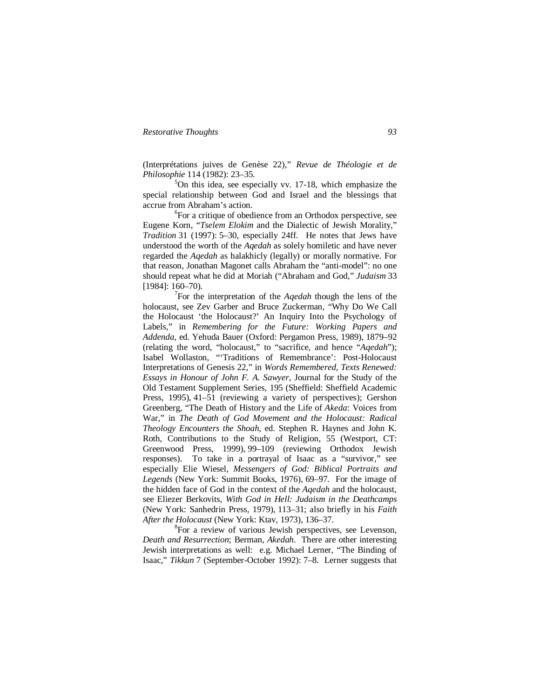(Interprétations juives de Genèse 22)," *Revue de Théologie et de Philosophie* 114 (1982): 23–35.

 $5$ On this idea, see especially vv. 17-18, which emphasize the special relationship between God and Israel and the blessings that accrue from Abraham's action.

6 For a critique of obedience from an Orthodox perspective, see Eugene Korn, "*Tselem Elokim* and the Dialectic of Jewish Morality," *Tradition* 31 (1997): 5–30, especially 24ff. He notes that Jews have understood the worth of the *Aqedah* as solely homiletic and have never regarded the *Aqedah* as halakhicly (legally) or morally normative. For that reason, Jonathan Magonet calls Abraham the "anti-model": no one should repeat what he did at Moriah ("Abraham and God," *Judaism* 33 [1984]: 160–70).

7 For the interpretation of the *Aqedah* though the lens of the holocaust, see Zev Garber and Bruce Zuckerman, "Why Do We Call the Holocaust 'the Holocaust?' An Inquiry Into the Psychology of Labels," in *Remembering for the Future: Working Papers and Addenda*, ed. Yehuda Bauer (Oxford: Pergamon Press, 1989), 1879–92 (relating the word, "holocaust," to "sacrifice, and hence "*Aqedah*"); Isabel Wollaston, "'Traditions of Remembrance': Post-Holocaust Interpretations of Genesis 22," in *Words Remembered, Texts Renewed: Essays in Honour of John F. A. Sawyer*, Journal for the Study of the Old Testament Supplement Series, 195 (Sheffield: Sheffield Academic Press, 1995), 41–51 (reviewing a variety of perspectives); Gershon Greenberg, "The Death of History and the Life of *Akeda*: Voices from War," in *The Death of God Movement and the Holocaust: Radical Theology Encounters the Shoah*, ed. Stephen R. Haynes and John K. Roth, Contributions to the Study of Religion, 55 (Westport, CT: Greenwood Press, 1999), 99–109 (reviewing Orthodox Jewish responses). To take in a portrayal of Isaac as a "survivor," see especially Elie Wiesel, *Messengers of God: Biblical Portraits and Legends* (New York: Summit Books, 1976), 69–97. For the image of the hidden face of God in the context of the *Aqedah* and the holocaust, see Eliezer Berkovits, *With God in Hell: Judaism in the Deathcamps* (New York: Sanhedrin Press, 1979), 113–31; also briefly in his *Faith After the Holocaust* (New York: Ktav, 1973), 136–37.

<sup>8</sup>For a review of various Jewish perspectives, see Levenson, *Death and Resurrection*; Berman, *Akedah*. There are other interesting Jewish interpretations as well: e.g. Michael Lerner, "The Binding of Isaac," *Tikkun* 7 (September-October 1992): 7–8. Lerner suggests that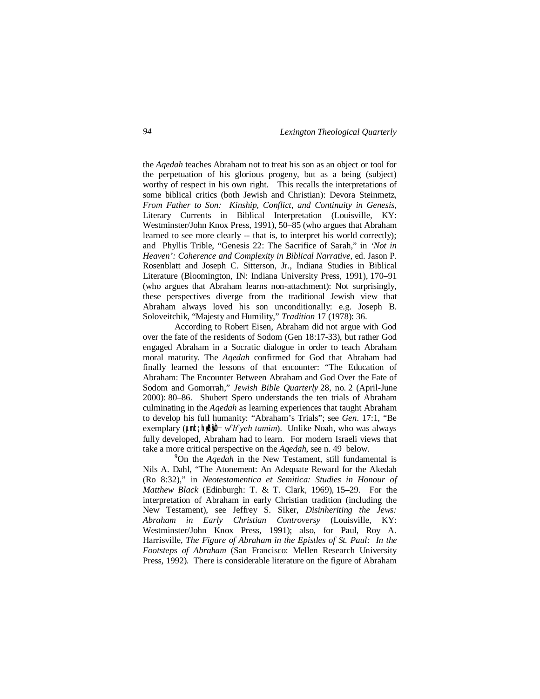the *Aqedah* teaches Abraham not to treat his son as an object or tool for the perpetuation of his glorious progeny, but as a being (subject) worthy of respect in his own right. This recalls the interpretations of some biblical critics (both Jewish and Christian): Devora Steinmetz, *From Father to Son: Kinship, Conflict, and Continuity in Genesis*, Literary Currents in Biblical Interpretation (Louisville, KY: Westminster/John Knox Press, 1991), 50–85 (who argues that Abraham learned to see more clearly -- that is, to interpret his world correctly); and Phyllis Trible, "Genesis 22: The Sacrifice of Sarah," in *'Not in Heaven': Coherence and Complexity in Biblical Narrative*, ed. Jason P. Rosenblatt and Joseph C. Sitterson, Jr., Indiana Studies in Biblical Literature (Bloomington, IN: Indiana University Press, 1991), 170–91 (who argues that Abraham learns non-attachment): Not surprisingly, these perspectives diverge from the traditional Jewish view that Abraham always loved his son unconditionally: e.g. Joseph B. Soloveitchik, "Majesty and Humility," *Tradition* 17 (1978): 36.

According to Robert Eisen, Abraham did not argue with God over the fate of the residents of Sodom (Gen 18:17-33), but rather God engaged Abraham in a Socratic dialogue in order to teach Abraham moral maturity. The *Aqedah* confirmed for God that Abraham had finally learned the lessons of that encounter: "The Education of Abraham: The Encounter Between Abraham and God Over the Fate of Sodom and Gomorrah," *Jewish Bible Quarterly* 28, no. 2 (April-June 2000): 80–86. Shubert Spero understands the ten trials of Abraham culminating in the *Aqedah* as learning experiences that taught Abraham to develop his full humanity: "Abraham's Trials"; see *Gen*. 17:1, "Be exemplary ( $\mu$ mit; hyh) $\theta = w^e h^e$ yeh *tamim*). Unlike Noah, who was always fully developed, Abraham had to learn. For modern Israeli views that take a more critical perspective on the *Aqedah*, see n. 49 below.

<sup>9</sup>On the *Aqedah* in the New Testament, still fundamental is Nils A. Dahl, "The Atonement: An Adequate Reward for the Akedah (Ro 8:32)," in *Neotestamentica et Semitica: Studies in Honour of Matthew Black* (Edinburgh: T. & T. Clark, 1969), 15–29. For the interpretation of Abraham in early Christian tradition (including the New Testament), see Jeffrey S. Siker, *Disinheriting the Jews: Abraham in Early Christian Controversy* (Louisville, KY: Westminster/John Knox Press, 1991); also, for Paul, Roy A. Harrisville, *The Figure of Abraham in the Epistles of St. Paul: In the Footsteps of Abraham* (San Francisco: Mellen Research University Press, 1992). There is considerable literature on the figure of Abraham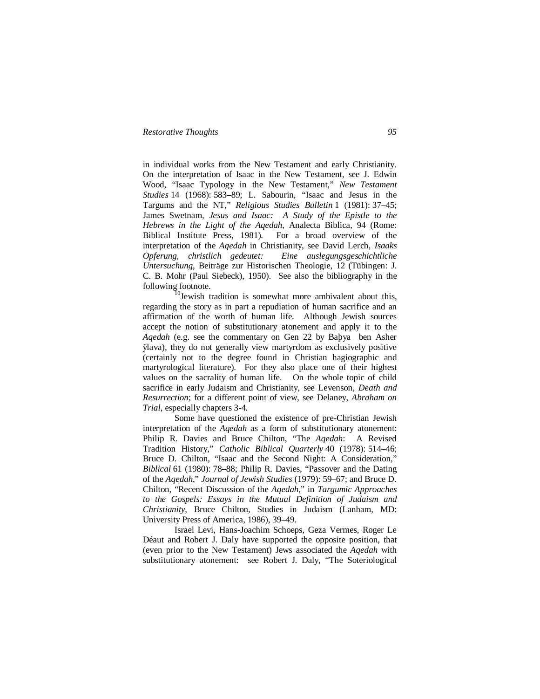in individual works from the New Testament and early Christianity. On the interpretation of Isaac in the New Testament, see J. Edwin Wood, "Isaac Typology in the New Testament," *New Testament Studies* 14 (1968): 583–89; L. Sabourin, "Isaac and Jesus in the Targums and the NT," *Religious Studies Bulletin* 1 (1981): 37–45; James Swetnam, *Jesus and Isaac: A Study of the Epistle to the Hebrews in the Light of the Aqedah*, Analecta Biblica, 94 (Rome: Biblical Institute Press, 1981). For a broad overview of the interpretation of the *Aqedah* in Christianity, see David Lerch, *Isaaks Opferung, christlich gedeutet: Eine auslegungsgeschichtliche Untersuchung*, Beiträge zur Historischen Theologie, 12 (Tübingen: J. C. B. Mohr (Paul Siebeck), 1950). See also the bibliography in the following footnote.

<sup>10</sup>Jewish tradition is somewhat more ambivalent about this, regarding the story as in part a repudiation of human sacrifice and an affirmation of the worth of human life. Although Jewish sources accept the notion of substitutionary atonement and apply it to the *Aqedah* (e.g. see the commentary on Gen 22 by Baþya ben Asher ÿlava), they do not generally view martyrdom as exclusively positive (certainly not to the degree found in Christian hagiographic and martyrological literature). For they also place one of their highest values on the sacrality of human life. On the whole topic of child sacrifice in early Judaism and Christianity, see Levenson, *Death and Resurrection*; for a different point of view, see Delaney, *Abraham on Trial*, especially chapters 3-4.

Some have questioned the existence of pre-Christian Jewish interpretation of the *Aqedah* as a form of substitutionary atonement: Philip R. Davies and Bruce Chilton, "The *Aqedah*: A Revised Tradition History," *Catholic Biblical Quarterly* 40 (1978): 514–46; Bruce D. Chilton, "Isaac and the Second Night: A Consideration," *Biblical* 61 (1980): 78–88; Philip R. Davies, "Passover and the Dating of the *Aqedah*," *Journal of Jewish Studies* (1979): 59–67; and Bruce D. Chilton, "Recent Discussion of the *Aqedah*," in *Targumic Approaches to the Gospels: Essays in the Mutual Definition of Judaism and Christianity*, Bruce Chilton, Studies in Judaism (Lanham, MD: University Press of America, 1986), 39–49.

Israel Levi, Hans-Joachim Schoeps, Geza Vermes, Roger Le Déaut and Robert J. Daly have supported the opposite position, that (even prior to the New Testament) Jews associated the *Aqedah* with substitutionary atonement: see Robert J. Daly, "The Soteriological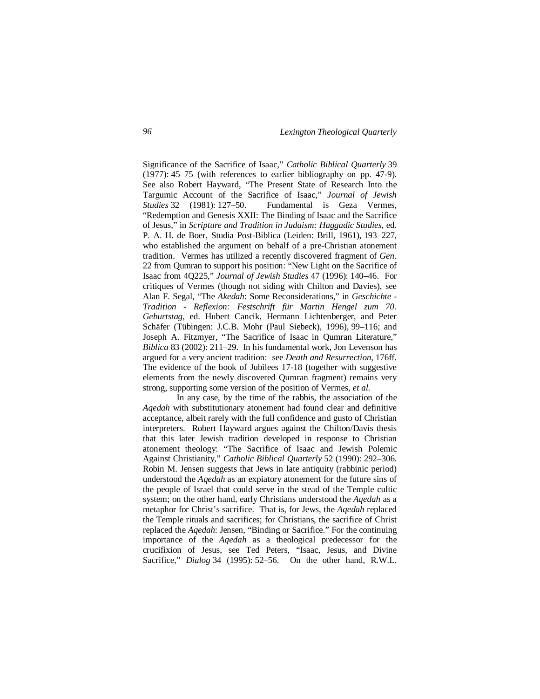Significance of the Sacrifice of Isaac," *Catholic Biblical Quarterly* 39 (1977): 45–75 (with references to earlier bibliography on pp. 47-9). See also Robert Hayward, "The Present State of Research Into the Targumic Account of the Sacrifice of Isaac," *Journal of Jewish Studies* 32 (1981): 127–50. Fundamental is Geza Vermes, "Redemption and Genesis XXII: The Binding of Isaac and the Sacrifice of Jesus," in *Scripture and Tradition in Judaism: Haggadic Studies*, ed. P. A. H. de Boer, Studia Post-Biblica (Leiden: Brill, 1961), 193–227, who established the argument on behalf of a pre-Christian atonement tradition. Vermes has utilized a recently discovered fragment of *Gen*. 22 from Qumran to support his position: "New Light on the Sacrifice of Isaac from 4Q225," *Journal of Jewish Studies* 47 (1996): 140–46. For critiques of Vermes (though not siding with Chilton and Davies), see Alan F. Segal, "The *Akedah*: Some Reconsiderations," in *Geschichte - Tradition - Reflexion: Festschrift für Martin Hengel zum 70. Geburtstag*, ed. Hubert Cancik, Hermann Lichtenberger, and Peter Schäfer (Tübingen: J.C.B. Mohr (Paul Siebeck), 1996), 99–116; and Joseph A. Fitzmyer, "The Sacrifice of Isaac in Qumran Literature," *Biblica* 83 (2002): 211–29. In his fundamental work, Jon Levenson has argued for a very ancient tradition: see *Death and Resurrection*, 176ff. The evidence of the book of Jubilees 17-18 (together with suggestive elements from the newly discovered Qumran fragment) remains very strong, supporting some version of the position of Vermes, *et al*.

In any case, by the time of the rabbis, the association of the *Aqedah* with substitutionary atonement had found clear and definitive acceptance, albeit rarely with the full confidence and gusto of Christian interpreters. Robert Hayward argues against the Chilton/Davis thesis that this later Jewish tradition developed in response to Christian atonement theology: "The Sacrifice of Isaac and Jewish Polemic Against Christianity," *Catholic Biblical Quarterly* 52 (1990): 292–306. Robin M. Jensen suggests that Jews in late antiquity (rabbinic period) understood the *Aqedah* as an expiatory atonement for the future sins of the people of Israel that could serve in the stead of the Temple cultic system; on the other hand, early Christians understood the *Aqedah* as a metaphor for Christ's sacrifice. That is, for Jews, the *Aqedah* replaced the Temple rituals and sacrifices; for Christians, the sacrifice of Christ replaced the *Aqedah*: Jensen, "Binding or Sacrifice." For the continuing importance of the *Aqedah* as a theological predecessor for the crucifixion of Jesus, see Ted Peters, "Isaac, Jesus, and Divine Sacrifice," *Dialog* 34 (1995): 52–56. On the other hand, R.W.L.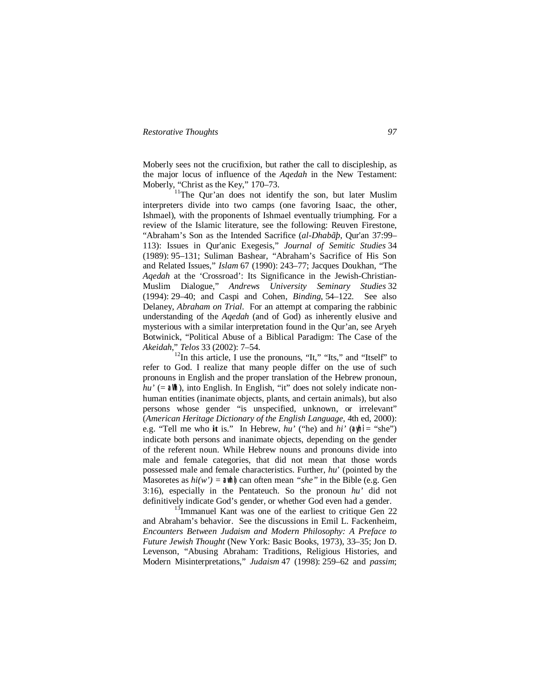Moberly sees not the crucifixion, but rather the call to discipleship, as the major locus of influence of the *Aqedah* in the New Testament: Moberly, "Christ as the Key," 170–73.

<sup>11</sup>The Qur'an does not identify the son, but later Muslim interpreters divide into two camps (one favoring Isaac, the other, Ishmael), with the proponents of Ishmael eventually triumphing. For a review of the Islamic literature, see the following: Reuven Firestone, "Abraham's Son as the Intended Sacrifice (*al-Dhabãþ*, Qur'an 37:99– 113): Issues in Qur'anic Exegesis," *Journal of Semitic Studies* 34 (1989): 95–131; Suliman Bashear, "Abraham's Sacrifice of His Son and Related Issues," *Islam* 67 (1990): 243–77; Jacques Doukhan, "The *Aqedah* at the 'Crossroad': Its Significance in the Jewish-Christian-Muslim Dialogue," *Andrews University Seminary Studies* 32 (1994): 29–40; and Caspi and Cohen, *Binding*, 54–122. See also Delaney, *Abraham on Trial*. For an attempt at comparing the rabbinic understanding of the *Aqedah* (and of God) as inherently elusive and mysterious with a similar interpretation found in the Qur'an, see Aryeh Botwinick, "Political Abuse of a Biblical Paradigm: The Case of the *Akeidah*," *Telos* 33 (2002): 7–54.

 $12$ In this article, I use the pronouns, "It," "Its," and "Itself" to refer to God. I realize that many people differ on the use of such pronouns in English and the proper translation of the Hebrew pronoun,  $hu'$  (=  $\partial x$ ), into English. In English, "it" does not solely indicate nonhuman entities (inanimate objects, plants, and certain animals), but also persons whose gender "is unspecified, unknown, or irrelevant" (*American Heritage Dictionary of the English Language,* 4th ed, 2000): e.g. "Tell me who **it** is." In Hebrew, *hu'* ("he) and *hi'* (**ayhi** = "she") indicate both persons and inanimate objects, depending on the gender of the referent noun. While Hebrew nouns and pronouns divide into male and female categories, that did not mean that those words possessed male and female characteristics. Further, *hu*' (pointed by the Masoretes as  $hi(w') = \partial x / \partial y$  can often mean "she" in the Bible (e.g. Gen 3:16), especially in the Pentateuch. So the pronoun *hu'* did not definitively indicate God's gender, or whether God even had a gender.

 $13$ Immanuel Kant was one of the earliest to critique Gen 22 and Abraham's behavior. See the discussions in Emil L. Fackenheim, *Encounters Between Judaism and Modern Philosophy: A Preface to Future Jewish Thought* (New York: Basic Books, 1973), 33–35; Jon D. Levenson, "Abusing Abraham: Traditions, Religious Histories, and Modern Misinterpretations," *Judaism* 47 (1998): 259–62 and *passim*;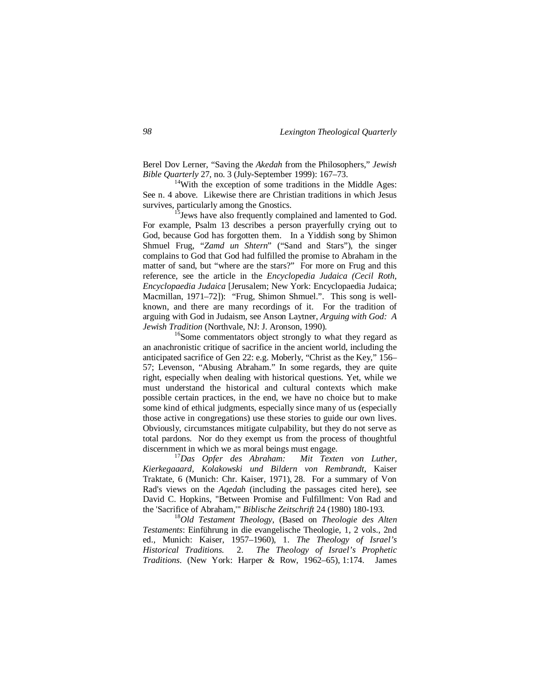Berel Dov Lerner, "Saving the *Akedah* from the Philosophers," *Jewish Bible Quarterly* 27, no. 3 (July-September 1999): 167–73.

<sup>14</sup>With the exception of some traditions in the Middle Ages: See n. 4 above. Likewise there are Christian traditions in which Jesus survives, particularly among the Gnostics.

<sup>15</sup> Jews have also frequently complained and lamented to God. For example, Psalm 13 describes a person prayerfully crying out to God, because God has forgotten them. In a Yiddish song by Shimon Shmuel Frug, "*Zamd un Shtern*" ("Sand and Stars"), the singer complains to God that God had fulfilled the promise to Abraham in the matter of sand, but "where are the stars?" For more on Frug and this reference, see the article in the *Encyclopedia Judaica (Cecil Roth, Encyclopaedia Judaica* [Jerusalem; New York: Encyclopaedia Judaica; Macmillan, 1971–72]): "Frug, Shimon Shmuel.". This song is wellknown, and there are many recordings of it. For the tradition of arguing with God in Judaism, see Anson Laytner, *Arguing with God: A Jewish Tradition* (Northvale, NJ: J. Aronson, 1990).

<sup>16</sup>Some commentators object strongly to what they regard as an anachronistic critique of sacrifice in the ancient world, including the anticipated sacrifice of Gen 22: e.g. Moberly, "Christ as the Key," 156– 57; Levenson, "Abusing Abraham." In some regards, they are quite right, especially when dealing with historical questions. Yet, while we must understand the historical and cultural contexts which make possible certain practices, in the end, we have no choice but to make some kind of ethical judgments, especially since many of us (especially those active in congregations) use these stories to guide our own lives. Obviously, circumstances mitigate culpability, but they do not serve as total pardons. Nor do they exempt us from the process of thoughtful discernment in which we as moral beings must engage.

<sup>17</sup>*Das Opfer des Abraham: Mit Texten von Luther, Kierkegaaard, Kolakowski und Bildern von Rembrandt*, Kaiser Traktate, 6 (Munich: Chr. Kaiser, 1971), 28. For a summary of Von Rad's views on the *Aqedah* (including the passages cited here), see David C. Hopkins, "Between Promise and Fulfillment: Von Rad and the 'Sacrifice of Abraham,'" *Biblische Zeitschrift* 24 (1980) 180-193.

<sup>18</sup>*Old Testament Theology*, (Based on *Theologie des Alten Testaments*: Einführung in die evangelische Theologie, 1, 2 vols., 2nd ed., Munich: Kaiser, 1957–1960), 1. *The Theology of Israel's Historical Traditions*. 2. *The Theology of Israel's Prophetic Traditions*. (New York: Harper & Row, 1962–65), 1:174. James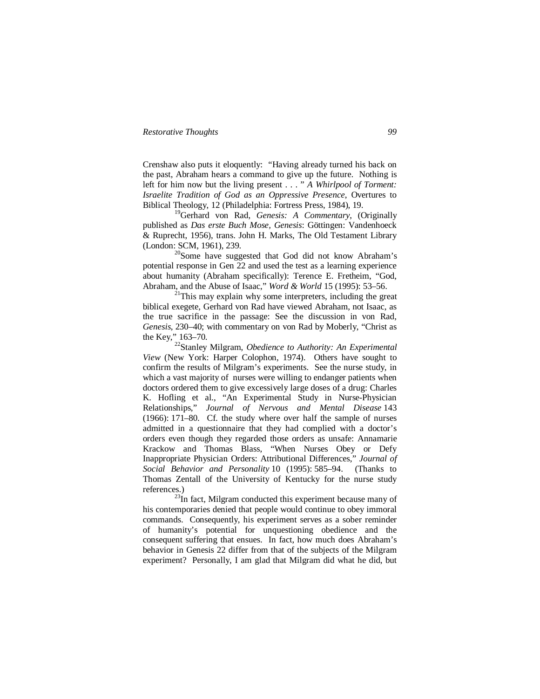Crenshaw also puts it eloquently: "Having already turned his back on the past, Abraham hears a command to give up the future. Nothing is left for him now but the living present . . . " *A Whirlpool of Torment: Israelite Tradition of God as an Oppressive Presence*, Overtures to Biblical Theology, 12 (Philadelphia: Fortress Press, 1984), 19.

<sup>19</sup>Gerhard von Rad, *Genesis: A Commentary*, (Originally published as *Das erste Buch Mose, Genesis*: Göttingen: Vandenhoeck & Ruprecht, 1956), trans. John H. Marks, The Old Testament Library (London: SCM, 1961), 239.

<sup>20</sup>Some have suggested that God did not know Abraham's potential response in Gen 22 and used the test as a learning experience about humanity (Abraham specifically): Terence E. Fretheim, "God, Abraham, and the Abuse of Isaac," *Word & World* 15 (1995): 53–56.

 $21$ This may explain why some interpreters, including the great biblical exegete, Gerhard von Rad have viewed Abraham, not Isaac, as the true sacrifice in the passage: See the discussion in von Rad, *Genesis*, 230–40; with commentary on von Rad by Moberly, "Christ as the Key," 163–70.

<sup>22</sup>Stanley Milgram, *Obedience to Authority: An Experimental View* (New York: Harper Colophon, 1974). Others have sought to confirm the results of Milgram's experiments. See the nurse study, in which a vast majority of nurses were willing to endanger patients when doctors ordered them to give excessively large doses of a drug: Charles K. Hofling et al., "An Experimental Study in Nurse-Physician Relationships," *Journal of Nervous and Mental Disease* 143 (1966): 171–80. Cf. the study where over half the sample of nurses admitted in a questionnaire that they had complied with a doctor's orders even though they regarded those orders as unsafe: Annamarie Krackow and Thomas Blass, "When Nurses Obey or Defy Inappropriate Physician Orders: Attributional Differences," *Journal of Social Behavior and Personality* 10 (1995): 585–94. (Thanks to Thomas Zentall of the University of Kentucky for the nurse study references.)

<sup>23</sup>In fact, Milgram conducted this experiment because many of his contemporaries denied that people would continue to obey immoral commands. Consequently, his experiment serves as a sober reminder of humanity's potential for unquestioning obedience and the consequent suffering that ensues. In fact, how much does Abraham's behavior in Genesis 22 differ from that of the subjects of the Milgram experiment? Personally, I am glad that Milgram did what he did, but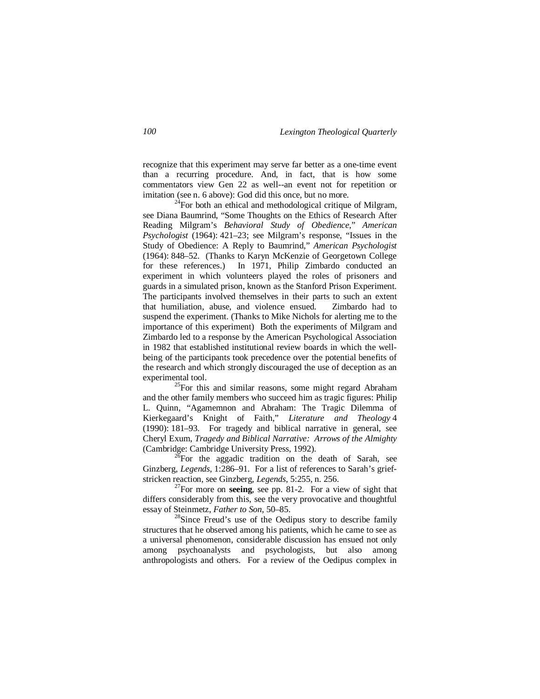recognize that this experiment may serve far better as a one-time event than a recurring procedure. And, in fact, that is how some commentators view Gen 22 as well--an event not for repetition or imitation (see n. 6 above): God did this once, but no more.

 $^{24}$ For both an ethical and methodological critique of Milgram, see Diana Baumrind, "Some Thoughts on the Ethics of Research After Reading Milgram's *Behavioral Study of Obedience*," *American Psychologist* (1964): 421–23; see Milgram's response, "Issues in the Study of Obedience: A Reply to Baumrind," *American Psychologist* (1964): 848–52. (Thanks to Karyn McKenzie of Georgetown College for these references.) In 1971, Philip Zimbardo conducted an experiment in which volunteers played the roles of prisoners and guards in a simulated prison, known as the Stanford Prison Experiment. The participants involved themselves in their parts to such an extent that humiliation, abuse, and violence ensued. Zimbardo had to suspend the experiment. (Thanks to Mike Nichols for alerting me to the importance of this experiment) Both the experiments of Milgram and Zimbardo led to a response by the American Psychological Association in 1982 that established institutional review boards in which the wellbeing of the participants took precedence over the potential benefits of the research and which strongly discouraged the use of deception as an experimental tool.

 $^{25}$ For this and similar reasons, some might regard Abraham and the other family members who succeed him as tragic figures: Philip L. Quinn, "Agamemnon and Abraham: The Tragic Dilemma of Kierkegaard's Knight of Faith," *Literature and Theology* 4 (1990): 181–93. For tragedy and biblical narrative in general, see Cheryl Exum, *Tragedy and Biblical Narrative: Arrows of the Almighty* (Cambridge: Cambridge University Press, 1992).

 $^{26}$ For the aggadic tradition on the death of Sarah, see Ginzberg, *Legends*, 1:286–91. For a list of references to Sarah's griefstricken reaction, see Ginzberg, *Legends*, 5:255, n. 256.

<sup>27</sup>For more on **seeing**, see pp. 81-2. For a view of sight that differs considerably from this, see the very provocative and thoughtful essay of Steinmetz, *Father to Son*, 50–85.

 $^{28}$ Since Freud's use of the Oedipus story to describe family structures that he observed among his patients, which he came to see as a universal phenomenon, considerable discussion has ensued not only among psychoanalysts and psychologists, but also among anthropologists and others. For a review of the Oedipus complex in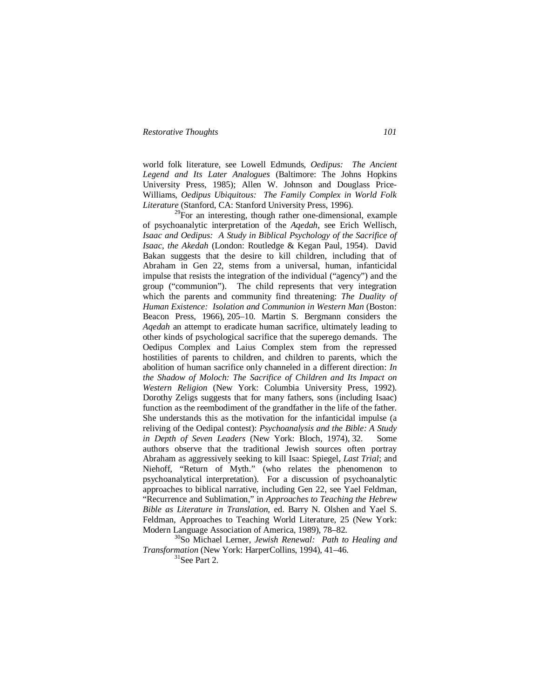world folk literature, see Lowell Edmunds, *Oedipus: The Ancient Legend and Its Later Analogues* (Baltimore: The Johns Hopkins University Press, 1985); Allen W. Johnson and Douglass Price-Williams, *Oedipus Ubiquitous: The Family Complex in World Folk Literature* (Stanford, CA: Stanford University Press, 1996).

 $^{29}$ For an interesting, though rather one-dimensional, example of psychoanalytic interpretation of the *Aqedah*, see Erich Wellisch, *Isaac and Oedipus: A Study in Biblical Psychology of the Sacrifice of Isaac, the Akedah* (London: Routledge & Kegan Paul, 1954). David Bakan suggests that the desire to kill children, including that of Abraham in Gen 22, stems from a universal, human, infanticidal impulse that resists the integration of the individual ("agency") and the group ("communion"). The child represents that very integration which the parents and community find threatening: *The Duality of Human Existence: Isolation and Communion in Western Man* (Boston: Beacon Press, 1966), 205–10. Martin S. Bergmann considers the *Aqedah* an attempt to eradicate human sacrifice, ultimately leading to other kinds of psychological sacrifice that the superego demands. The Oedipus Complex and Laius Complex stem from the repressed hostilities of parents to children, and children to parents, which the abolition of human sacrifice only channeled in a different direction: *In the Shadow of Moloch: The Sacrifice of Children and Its Impact on Western Religion* (New York: Columbia University Press, 1992). Dorothy Zeligs suggests that for many fathers, sons (including Isaac) function as the reembodiment of the grandfather in the life of the father. She understands this as the motivation for the infanticidal impulse (a reliving of the Oedipal contest): *Psychoanalysis and the Bible: A Study in Depth of Seven Leaders* (New York: Bloch, 1974), 32. Some authors observe that the traditional Jewish sources often portray Abraham as aggressively seeking to kill Isaac: Spiegel, *Last Trial*; and Niehoff, "Return of Myth." (who relates the phenomenon to psychoanalytical interpretation). For a discussion of psychoanalytic approaches to biblical narrative, including Gen 22, see Yael Feldman, "Recurrence and Sublimation," in *Approaches to Teaching the Hebrew Bible as Literature in Translation*, ed. Barry N. Olshen and Yael S. Feldman, Approaches to Teaching World Literature, 25 (New York: Modern Language Association of America, 1989), 78–82.

<sup>30</sup>So Michael Lerner, *Jewish Renewal: Path to Healing and Transformation* (New York: HarperCollins, 1994), 41–46.

 $31$ See Part 2.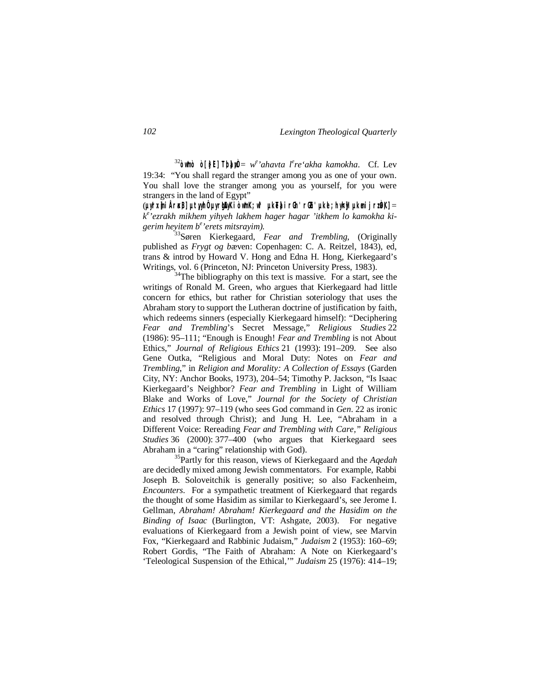<sup>32</sup>**òw\*mò ò[}rEl] T;b]a;wÒ** = *w e 'ahavta l<sup>e</sup> re'akha kamokha*. Cf. Lev 19:34: "You shall regard the stranger among you as one of your own. You shall love the stranger among you as yourself, for you were strangers in the land of Egypt"

(**µyIr:x]mi År<a,B] µt,yyIhÔ µyrIgEAyKi òw\*mK; w\*l µkeT]ai rG:h' rGEh' µkel; hy<h]yI µkemi jr:zÒa,K]** = *k e 'ezrakh mikhem yihyeh lakhem hager hagar 'itkhem lo kamokha kigerim heyitem b<sup>e</sup> 'erets mitsrayim).*

<sup>33</sup>Søren Kierkegaard, *Fear and Trembling*, (Originally published as *Frygt og b*æven: Copenhagen: C. A. Reitzel, 1843), ed, trans & introd by Howard V. Hong and Edna H. Hong, Kierkegaard's Writings, vol. 6 (Princeton, NJ: Princeton University Press, 1983).

 $34$ The bibliography on this text is massive. For a start, see the writings of Ronald M. Green, who argues that Kierkegaard had little concern for ethics, but rather for Christian soteriology that uses the Abraham story to support the Lutheran doctrine of justification by faith, which redeems sinners (especially Kierkegaard himself): "Deciphering *Fear and Trembling*'s Secret Message," *Religious Studies* 22 (1986): 95–111; "Enough is Enough! *Fear and Trembling* is not About Ethics," *Journal of Religious Ethics* 21 (1993): 191–209. See also Gene Outka, "Religious and Moral Duty: Notes on *Fear and Trembling*," in *Religion and Morality: A Collection of Essays* (Garden City, NY: Anchor Books, 1973), 204–54; Timothy P. Jackson, "Is Isaac Kierkegaard's Neighbor? *Fear and Trembling* in Light of William Blake and Works of Love," *Journal for the Society of Christian Ethics* 17 (1997): 97–119 (who sees God command in *Gen*. 22 as ironic and resolved through Christ); and Jung H. Lee, "Abraham in a Different Voice: Rereading *Fear and Trembling with Care," Religious Studies* 36 (2000): 377–400 (who argues that Kierkegaard sees Abraham in a "caring" relationship with God).

<sup>35</sup>Partly for this reason, views of Kierkegaard and the *Aqedah* are decidedly mixed among Jewish commentators. For example, Rabbi Joseph B. Soloveitchik is generally positive; so also Fackenheim, *Encounters*. For a sympathetic treatment of Kierkegaard that regards the thought of some Hasidim as similar to Kierkegaard's, see Jerome I. Gellman, *Abraham! Abraham! Kierkegaard and the Hasidim on the Binding of Isaac* (Burlington, VT: Ashgate, 2003). For negative evaluations of Kierkegaard from a Jewish point of view, see Marvin Fox, "Kierkegaard and Rabbinic Judaism," *Judaism* 2 (1953): 160–69; Robert Gordis, "The Faith of Abraham: A Note on Kierkegaard's 'Teleological Suspension of the Ethical,'" *Judaism* 25 (1976): 414–19;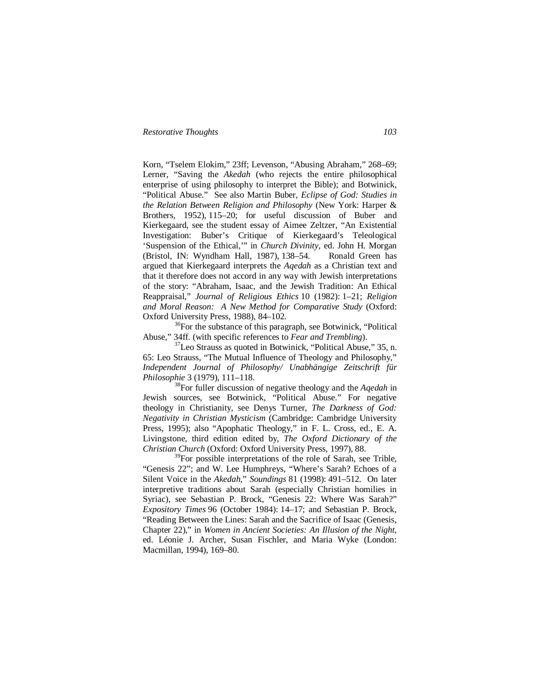Korn, "Tselem Elokim," 23ff; Levenson, "Abusing Abraham," 268–69; Lerner, "Saving the *Akedah* (who rejects the entire philosophical enterprise of using philosophy to interpret the Bible); and Botwinick, "Political Abuse." See also Martin Buber, *Eclipse of God: Studies in the Relation Between Religion and Philosophy* (New York: Harper & Brothers, 1952), 115–20; for useful discussion of Buber and Kierkegaard, see the student essay of Aimee Zeltzer, "An Existential Investigation: Buber's Critique of Kierkegaard's Teleological 'Suspension of the Ethical,'" in *Church Divinity*, ed. John H. Morgan (Bristol, IN: Wyndham Hall, 1987), 138–54. Ronald Green has argued that Kierkegaard interprets the *Aqedah* as a Christian text and that it therefore does not accord in any way with Jewish interpretations of the story: "Abraham, Isaac, and the Jewish Tradition: An Ethical Reappraisal," *Journal of Religious Ethics* 10 (1982): 1–21; *Religion and Moral Reason: A New Method for Comparative Study* (Oxford: Oxford University Press, 1988), 84–102.

 $36$ For the substance of this paragraph, see Botwinick, "Political" Abuse," 34ff. (with specific references to *Fear and Trembling*).

 $37$ Leo Strauss as quoted in Botwinick, "Political Abuse," 35, n. 65: Leo Strauss, "The Mutual Influence of Theology and Philosophy," *Independent Journal of Philosophy/ Unabhängige Zeitschrift für Philosophie* 3 (1979), 111–118.

<sup>38</sup>For fuller discussion of negative theology and the *Aqedah* in Jewish sources, see Botwinick, "Political Abuse." For negative theology in Christianity, see Denys Turner, *The Darkness of God: Negativity in Christian Mysticism* (Cambridge: Cambridge University Press, 1995); also "Apophatic Theology," in F. L. Cross, ed., E. A. Livingstone, third edition edited by, *The Oxford Dictionary of the Christian Church* (Oxford: Oxford University Press, 1997), 88.

<sup>39</sup>For possible interpretations of the role of Sarah, see Trible, "Genesis 22"; and W. Lee Humphreys, "Where's Sarah? Echoes of a Silent Voice in the *Akedah*," *Soundings* 81 (1998): 491–512. On later interpretive traditions about Sarah (especially Christian homilies in Syriac), see Sebastian P. Brock, "Genesis 22: Where Was Sarah?" *Expository Times* 96 (October 1984): 14–17; and Sebastian P. Brock, "Reading Between the Lines: Sarah and the Sacrifice of Isaac (Genesis, Chapter 22)," in *Women in Ancient Societies: An Illusion of the Night*, ed. Léonie J. Archer, Susan Fischler, and Maria Wyke (London: Macmillan, 1994), 169–80.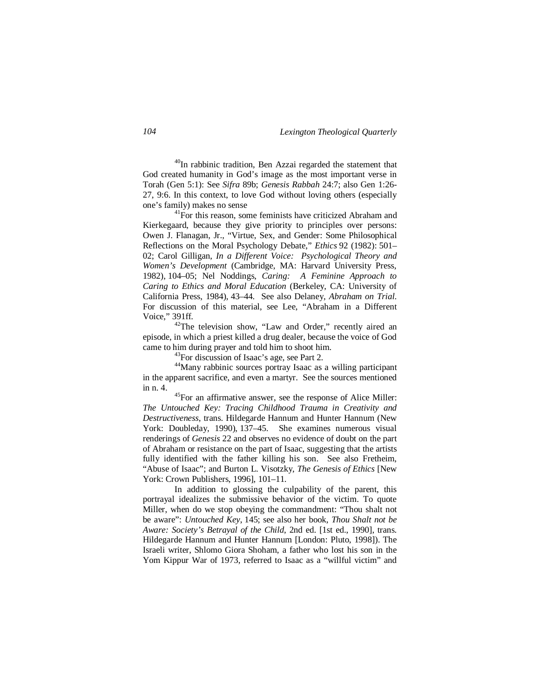$^{40}$ In rabbinic tradition, Ben Azzai regarded the statement that God created humanity in God's image as the most important verse in Torah (Gen 5:1): See *Sifra* 89b; *Genesis Rabbah* 24:7; also Gen 1:26- 27, 9:6. In this context, to love God without loving others (especially one's family) makes no sense

<sup>41</sup>For this reason, some feminists have criticized Abraham and Kierkegaard, because they give priority to principles over persons: Owen J. Flanagan, Jr., "Virtue, Sex, and Gender: Some Philosophical Reflections on the Moral Psychology Debate," *Ethics* 92 (1982): 501– 02; Carol Gilligan, *In a Different Voice: Psychological Theory and Women's Development* (Cambridge, MA: Harvard University Press, 1982), 104–05; Nel Noddings, *Caring: A Feminine Approach to Caring to Ethics and Moral Education* (Berkeley, CA: University of California Press, 1984), 43–44. See also Delaney, *Abraham on Trial*. For discussion of this material, see Lee, "Abraham in a Different Voice," 391ff.

<sup>42</sup>The television show, "Law and Order," recently aired an episode, in which a priest killed a drug dealer, because the voice of God came to him during prayer and told him to shoot him.

 $^{43}$ For discussion of Isaac's age, see Part 2.

<sup>44</sup>Many rabbinic sources portray Isaac as a willing participant in the apparent sacrifice, and even a martyr. See the sources mentioned in n. 4.

<sup>45</sup>For an affirmative answer, see the response of Alice Miller: *The Untouched Key: Tracing Childhood Trauma in Creativity and Destructiveness*, trans. Hildegarde Hannum and Hunter Hannum (New York: Doubleday, 1990), 137–45. She examines numerous visual renderings of *Genesis* 22 and observes no evidence of doubt on the part of Abraham or resistance on the part of Isaac, suggesting that the artists fully identified with the father killing his son. See also Fretheim, "Abuse of Isaac"; and Burton L. Visotzky, *The Genesis of Ethics* [New York: Crown Publishers, 1996], 101–11.

In addition to glossing the culpability of the parent, this portrayal idealizes the submissive behavior of the victim. To quote Miller, when do we stop obeying the commandment: "Thou shalt not be aware": *Untouched Key*, 145; see also her book, *Thou Shalt not be Aware: Society's Betrayal of the Child*, 2nd ed. [1st ed., 1990], trans. Hildegarde Hannum and Hunter Hannum [London: Pluto, 1998]). The Israeli writer, Shlomo Giora Shoham, a father who lost his son in the Yom Kippur War of 1973, referred to Isaac as a "willful victim" and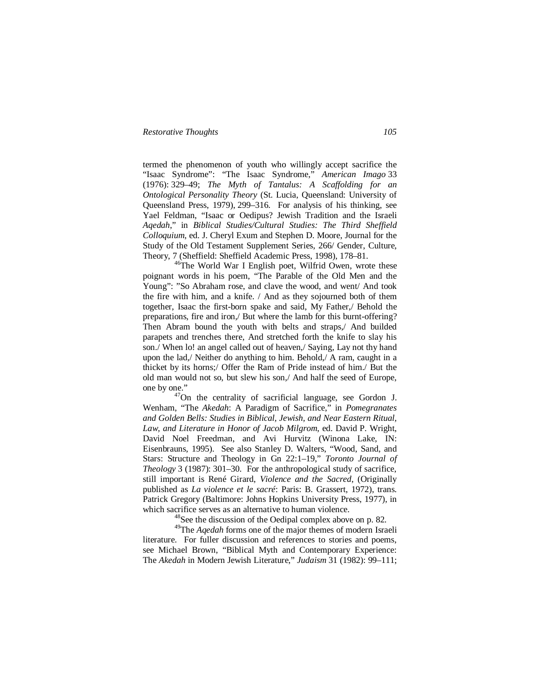termed the phenomenon of youth who willingly accept sacrifice the "Isaac Syndrome": "The Isaac Syndrome," *American Imago* 33 (1976): 329–49; *The Myth of Tantalus: A Scaffolding for an Ontological Personality Theory* (St. Lucia, Queensland: University of Queensland Press, 1979), 299–316. For analysis of his thinking, see Yael Feldman, "Isaac or Oedipus? Jewish Tradition and the Israeli *Aqedah*," in *Biblical Studies/Cultural Studies: The Third Sheffield Colloquium*, ed. J. Cheryl Exum and Stephen D. Moore, Journal for the Study of the Old Testament Supplement Series, 266/ Gender, Culture, Theory, 7 (Sheffield: Sheffield Academic Press, 1998), 178–81.

 $46$ The World War I English poet, Wilfrid Owen, wrote these poignant words in his poem, "The Parable of the Old Men and the Young": "So Abraham rose, and clave the wood, and went/ And took the fire with him, and a knife. / And as they sojourned both of them together, Isaac the first-born spake and said, My Father,/ Behold the preparations, fire and iron,/ But where the lamb for this burnt-offering? Then Abram bound the youth with belts and straps,/ And builded parapets and trenches there, And stretched forth the knife to slay his son./ When lo! an angel called out of heaven,/ Saying, Lay not thy hand upon the lad,/ Neither do anything to him. Behold,/ A ram, caught in a thicket by its horns;/ Offer the Ram of Pride instead of him./ But the old man would not so, but slew his son,/ And half the seed of Europe, one by one."

<sup>47</sup>On the centrality of sacrificial language, see Gordon J. Wenham, "The *Akedah*: A Paradigm of Sacrifice," in *Pomegranates and Golden Bells: Studies in Biblical, Jewish, and Near Eastern Ritual, Law, and Literature in Honor of Jacob Milgrom*, ed. David P. Wright, David Noel Freedman, and Avi Hurvitz (Winona Lake, IN: Eisenbrauns, 1995). See also Stanley D. Walters, "Wood, Sand, and Stars: Structure and Theology in Gn 22:1–19," *Toronto Journal of Theology* 3 (1987): 301–30. For the anthropological study of sacrifice, still important is René Girard, *Violence and the Sacred*, (Originally published as *La violence et le sacré*: Paris: B. Grassert, 1972), trans. Patrick Gregory (Baltimore: Johns Hopkins University Press, 1977), in which sacrifice serves as an alternative to human violence.

<sup>48</sup>See the discussion of the Oedipal complex above on p. 82.

<sup>49</sup>The *Aqedah* forms one of the major themes of modern Israeli literature. For fuller discussion and references to stories and poems, see Michael Brown, "Biblical Myth and Contemporary Experience: The *Akedah* in Modern Jewish Literature," *Judaism* 31 (1982): 99–111;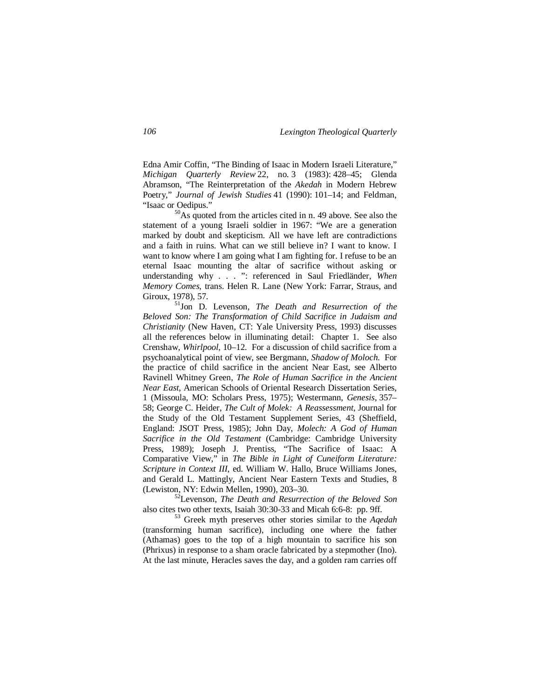Edna Amir Coffin, "The Binding of Isaac in Modern Israeli Literature," *Michigan Quarterly Review* 22, no. 3 (1983): 428–45; Glenda Abramson, "The Reinterpretation of the *Akedah* in Modern Hebrew Poetry," *Journal of Jewish Studies* 41 (1990): 101–14; and Feldman, "Isaac or Oedipus."

<sup>50</sup>As quoted from the articles cited in n. 49 above. See also the statement of a young Israeli soldier in 1967: "We are a generation marked by doubt and skepticism. All we have left are contradictions and a faith in ruins. What can we still believe in? I want to know. I want to know where I am going what I am fighting for. I refuse to be an eternal Isaac mounting the altar of sacrifice without asking or understanding why . . . ": referenced in Saul Friedländer, *When Memory Comes*, trans. Helen R. Lane (New York: Farrar, Straus, and Giroux, 1978), 57.

<sup>51</sup>Jon D. Levenson, *The Death and Resurrection of the Beloved Son: The Transformation of Child Sacrifice in Judaism and Christianity* (New Haven, CT: Yale University Press, 1993) discusses all the references below in illuminating detail: Chapter 1. See also Crenshaw, *Whirlpool*, 10–12. For a discussion of child sacrifice from a psychoanalytical point of view, see Bergmann, *Shadow of Moloch*. For the practice of child sacrifice in the ancient Near East, see Alberto Ravinell Whitney Green, *The Role of Human Sacrifice in the Ancient Near East*, American Schools of Oriental Research Dissertation Series, 1 (Missoula, MO: Scholars Press, 1975); Westermann, *Genesis*, 357– 58; George C. Heider, *The Cult of Molek: A Reassessment*, Journal for the Study of the Old Testament Supplement Series, 43 (Sheffield, England: JSOT Press, 1985); John Day, *Molech: A God of Human Sacrifice in the Old Testament* (Cambridge: Cambridge University Press, 1989); Joseph J. Prentiss, "The Sacrifice of Isaac: A Comparative View," in *The Bible in Light of Cuneiform Literature: Scripture in Context III*, ed. William W. Hallo, Bruce Williams Jones, and Gerald L. Mattingly, Ancient Near Eastern Texts and Studies, 8 (Lewiston, NY: Edwin Mellen, 1990), 203–30.

<sup>52</sup>Levenson, *The Death and Resurrection of the Beloved Son* also cites two other texts, Isaiah 30:30-33 and Micah 6:6-8: pp. 9ff.

<sup>53</sup> Greek myth preserves other stories similar to the *Aqedah* (transforming human sacrifice), including one where the father (Athamas) goes to the top of a high mountain to sacrifice his son (Phrixus) in response to a sham oracle fabricated by a stepmother (Ino). At the last minute, Heracles saves the day, and a golden ram carries off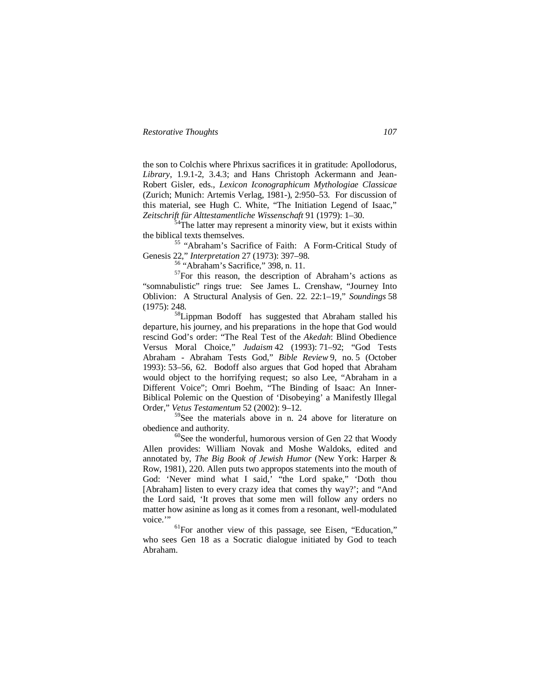the son to Colchis where Phrixus sacrifices it in gratitude: Apollodorus, *Library*, 1.9.1-2, 3.4.3; and Hans Christoph Ackermann and Jean-Robert Gisler, eds., *Lexicon Iconographicum Mythologiae Classicae* (Zurich; Munich: Artemis Verlag, 1981-), 2:950–53. For discussion of this material, see Hugh C. White, "The Initiation Legend of Isaac," *Zeitschrift für Alttestamentliche Wissenschaft* 91 (1979): 1–30.

<sup>4</sup>The latter may represent a minority view, but it exists within the biblical texts themselves.

<sup>55</sup> "Abraham's Sacrifice of Faith: A Form-Critical Study of Genesis 22," *Interpretation* 27 (1973): 397–98.

<sup>56</sup> "Abraham's Sacrifice," 398, n. 11.

 $57$ For this reason, the description of Abraham's actions as "somnabulistic" rings true: See James L. Crenshaw, "Journey Into Oblivion: A Structural Analysis of Gen. 22. 22:1–19," *Soundings* 58 (1975): 248.

<sup>58</sup>Lippman Bodoff has suggested that Abraham stalled his departure, his journey, and his preparations in the hope that God would rescind God's order: "The Real Test of the *Akedah*: Blind Obedience Versus Moral Choice," *Judaism* 42 (1993): 71–92; "God Tests Abraham - Abraham Tests God," *Bible Review* 9, no. 5 (October 1993): 53–56, 62. Bodoff also argues that God hoped that Abraham would object to the horrifying request; so also Lee, "Abraham in a Different Voice"; Omri Boehm, "The Binding of Isaac: An Inner-Biblical Polemic on the Question of 'Disobeying' a Manifestly Illegal Order," *Vetus Testamentum* 52 (2002): 9–12.

<sup>59</sup>See the materials above in n. 24 above for literature on obedience and authority.

 $60$ See the wonderful, humorous version of Gen 22 that Woody Allen provides: William Novak and Moshe Waldoks, edited and annotated by, *The Big Book of Jewish Humor* (New York: Harper & Row, 1981), 220. Allen puts two appropos statements into the mouth of God: 'Never mind what I said,' "the Lord spake," 'Doth thou [Abraham] listen to every crazy idea that comes thy way?'; and "And the Lord said, 'It proves that some men will follow any orders no matter how asinine as long as it comes from a resonant, well-modulated voice."

 $<sup>61</sup>$  For another view of this passage, see Eisen, "Education,"</sup> who sees Gen 18 as a Socratic dialogue initiated by God to teach Abraham.